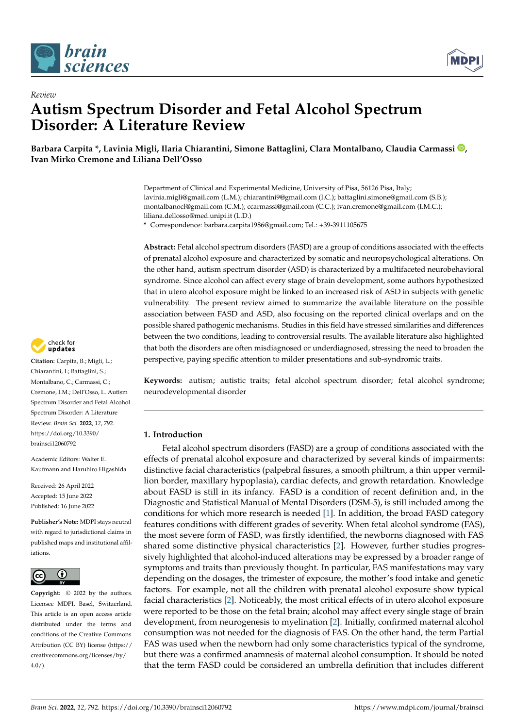



# *Review* **Autism Spectrum Disorder and Fetal Alcohol Spectrum Disorder: A Literature Review**

**Barbara Carpita \*, Lavinia Migli, Ilaria Chiarantini, Simone Battaglini, Clara Montalbano, Claudia Carmassi [,](https://orcid.org/0000-0002-3662-8073) Ivan Mirko Cremone and Liliana Dell'Osso**

> Department of Clinical and Experimental Medicine, University of Pisa, 56126 Pisa, Italy; lavinia.migli@gmail.com (L.M.); chiarantini9@gmail.com (I.C.); battaglini.simone@gmail.com (S.B.); montalbanocl@gmail.com (C.M.); ccarmassi@gmail.com (C.C.); ivan.cremone@gmail.com (I.M.C.); liliana.dellosso@med.unipi.it (L.D.)

**\*** Correspondence: barbara.carpita1986@gmail.com; Tel.: +39-3911105675

**Abstract:** Fetal alcohol spectrum disorders (FASD) are a group of conditions associated with the effects of prenatal alcohol exposure and characterized by somatic and neuropsychological alterations. On the other hand, autism spectrum disorder (ASD) is characterized by a multifaceted neurobehavioral syndrome. Since alcohol can affect every stage of brain development, some authors hypothesized that in utero alcohol exposure might be linked to an increased risk of ASD in subjects with genetic vulnerability. The present review aimed to summarize the available literature on the possible association between FASD and ASD, also focusing on the reported clinical overlaps and on the possible shared pathogenic mechanisms. Studies in this field have stressed similarities and differences between the two conditions, leading to controversial results. The available literature also highlighted that both the disorders are often misdiagnosed or underdiagnosed, stressing the need to broaden the perspective, paying specific attention to milder presentations and sub-syndromic traits.

**Keywords:** autism; autistic traits; fetal alcohol spectrum disorder; fetal alcohol syndrome; neurodevelopmental disorder

# **1. Introduction**

Fetal alcohol spectrum disorders (FASD) are a group of conditions associated with the effects of prenatal alcohol exposure and characterized by several kinds of impairments: distinctive facial characteristics (palpebral fissures, a smooth philtrum, a thin upper vermillion border, maxillary hypoplasia), cardiac defects, and growth retardation. Knowledge about FASD is still in its infancy. FASD is a condition of recent definition and, in the Diagnostic and Statistical Manual of Mental Disorders (DSM-5), is still included among the conditions for which more research is needed [\[1\]](#page-14-0). In addition, the broad FASD category features conditions with different grades of severity. When fetal alcohol syndrome (FAS), the most severe form of FASD, was firstly identified, the newborns diagnosed with FAS shared some distinctive physical characteristics [\[2\]](#page-14-1). However, further studies progressively highlighted that alcohol-induced alterations may be expressed by a broader range of symptoms and traits than previously thought. In particular, FAS manifestations may vary depending on the dosages, the trimester of exposure, the mother's food intake and genetic factors. For example, not all the children with prenatal alcohol exposure show typical facial characteristics [\[2\]](#page-14-1). Noticeably, the most critical effects of in utero alcohol exposure were reported to be those on the fetal brain; alcohol may affect every single stage of brain development, from neurogenesis to myelination [\[2\]](#page-14-1). Initially, confirmed maternal alcohol consumption was not needed for the diagnosis of FAS. On the other hand, the term Partial FAS was used when the newborn had only some characteristics typical of the syndrome, but there was a confirmed anamnesis of maternal alcohol consumption. It should be noted that the term FASD could be considered an umbrella definition that includes different



**Citation:** Carpita, B.; Migli, L.; Chiarantini, I.; Battaglini, S.; Montalbano, C.; Carmassi, C.; Cremone, I.M.; Dell'Osso, L. Autism Spectrum Disorder and Fetal Alcohol Spectrum Disorder: A Literature Review. *Brain Sci.* **2022**, *12*, 792. [https://doi.org/10.3390/](https://doi.org/10.3390/brainsci12060792) [brainsci12060792](https://doi.org/10.3390/brainsci12060792)

Academic Editors: Walter E. Kaufmann and Haruhiro Higashida

Received: 26 April 2022 Accepted: 15 June 2022 Published: 16 June 2022

**Publisher's Note:** MDPI stays neutral with regard to jurisdictional claims in published maps and institutional affiliations.



**Copyright:** © 2022 by the authors. Licensee MDPI, Basel, Switzerland. This article is an open access article distributed under the terms and conditions of the Creative Commons Attribution (CC BY) license [\(https://](https://creativecommons.org/licenses/by/4.0/) [creativecommons.org/licenses/by/](https://creativecommons.org/licenses/by/4.0/)  $4.0/$ ).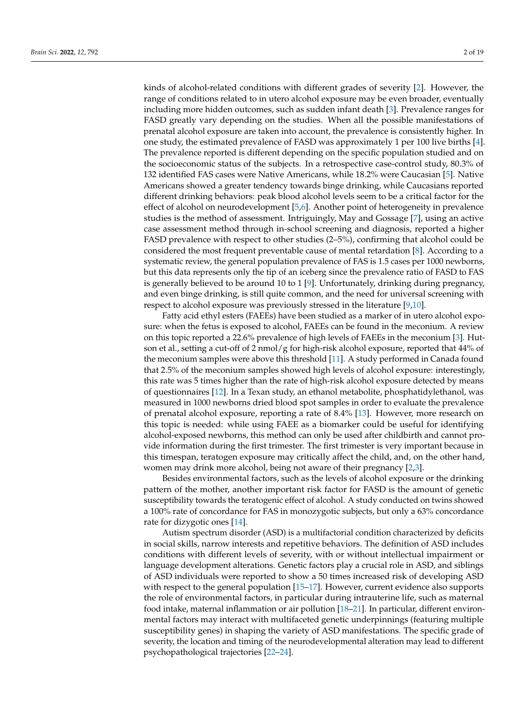kinds of alcohol-related conditions with different grades of severity [\[2\]](#page-14-1). However, the range of conditions related to in utero alcohol exposure may be even broader, eventually including more hidden outcomes, such as sudden infant death [\[3\]](#page-14-2). Prevalence ranges for FASD greatly vary depending on the studies. When all the possible manifestations of prenatal alcohol exposure are taken into account, the prevalence is consistently higher. In one study, the estimated prevalence of FASD was approximately 1 per 100 live births [\[4\]](#page-14-3). The prevalence reported is different depending on the specific population studied and on the socioeconomic status of the subjects. In a retrospective case-control study, 80.3% of 132 identified FAS cases were Native Americans, while 18.2% were Caucasian [\[5\]](#page-14-4). Native Americans showed a greater tendency towards binge drinking, while Caucasians reported different drinking behaviors: peak blood alcohol levels seem to be a critical factor for the effect of alcohol on neurodevelopment [\[5](#page-14-4)[,6\]](#page-14-5). Another point of heterogeneity in prevalence studies is the method of assessment. Intriguingly, May and Gossage [\[7\]](#page-14-6), using an active case assessment method through in-school screening and diagnosis, reported a higher FASD prevalence with respect to other studies (2–5%), confirming that alcohol could be considered the most frequent preventable cause of mental retardation [\[8\]](#page-14-7). According to a systematic review, the general population prevalence of FAS is 1.5 cases per 1000 newborns, but this data represents only the tip of an iceberg since the prevalence ratio of FASD to FAS is generally believed to be around 10 to 1 [\[9\]](#page-14-8). Unfortunately, drinking during pregnancy, and even binge drinking, is still quite common, and the need for universal screening with respect to alcohol exposure was previously stressed in the literature [\[9](#page-14-8)[,10\]](#page-14-9).

Fatty acid ethyl esters (FAEEs) have been studied as a marker of in utero alcohol exposure: when the fetus is exposed to alcohol, FAEEs can be found in the meconium. A review on this topic reported a 22.6% prevalence of high levels of FAEEs in the meconium [\[3\]](#page-14-2). Hutson et al., setting a cut-off of 2 nmol/g for high-risk alcohol exposure, reported that 44% of the meconium samples were above this threshold [\[11\]](#page-14-10). A study performed in Canada found that 2.5% of the meconium samples showed high levels of alcohol exposure: interestingly, this rate was 5 times higher than the rate of high-risk alcohol exposure detected by means of questionnaires [\[12\]](#page-14-11). In a Texan study, an ethanol metabolite, phosphatidylethanol, was measured in 1000 newborns dried blood spot samples in order to evaluate the prevalence of prenatal alcohol exposure, reporting a rate of 8.4% [\[13\]](#page-14-12). However, more research on this topic is needed: while using FAEE as a biomarker could be useful for identifying alcohol-exposed newborns, this method can only be used after childbirth and cannot provide information during the first trimester. The first trimester is very important because in this timespan, teratogen exposure may critically affect the child, and, on the other hand, women may drink more alcohol, being not aware of their pregnancy [\[2](#page-14-1)[,3\]](#page-14-2).

Besides environmental factors, such as the levels of alcohol exposure or the drinking pattern of the mother, another important risk factor for FASD is the amount of genetic susceptibility towards the teratogenic effect of alcohol. A study conducted on twins showed a 100% rate of concordance for FAS in monozygotic subjects, but only a 63% concordance rate for dizygotic ones [\[14\]](#page-14-13).

Autism spectrum disorder (ASD) is a multifactorial condition characterized by deficits in social skills, narrow interests and repetitive behaviors. The definition of ASD includes conditions with different levels of severity, with or without intellectual impairment or language development alterations. Genetic factors play a crucial role in ASD, and siblings of ASD individuals were reported to show a 50 times increased risk of developing ASD with respect to the general population [\[15–](#page-14-14)[17\]](#page-14-15). However, current evidence also supports the role of environmental factors, in particular during intrauterine life, such as maternal food intake, maternal inflammation or air pollution [\[18](#page-14-16)[–21\]](#page-14-17). In particular, different environmental factors may interact with multifaceted genetic underpinnings (featuring multiple susceptibility genes) in shaping the variety of ASD manifestations. The specific grade of severity, the location and timing of the neurodevelopmental alteration may lead to different psychopathological trajectories [\[22](#page-15-0)[–24\]](#page-15-1).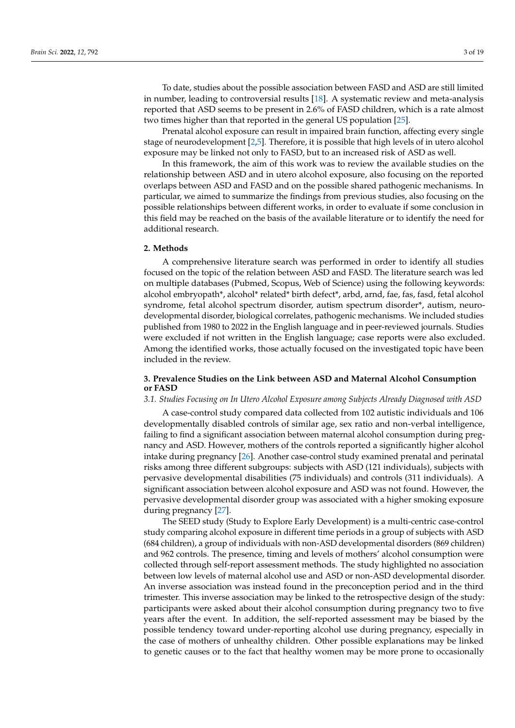To date, studies about the possible association between FASD and ASD are still limited in number, leading to controversial results [\[18\]](#page-14-16). A systematic review and meta-analysis reported that ASD seems to be present in 2.6% of FASD children, which is a rate almost two times higher than that reported in the general US population [\[25\]](#page-15-2).

Prenatal alcohol exposure can result in impaired brain function, affecting every single stage of neurodevelopment [\[2](#page-14-1)[,5\]](#page-14-4). Therefore, it is possible that high levels of in utero alcohol exposure may be linked not only to FASD, but to an increased risk of ASD as well.

In this framework, the aim of this work was to review the available studies on the relationship between ASD and in utero alcohol exposure, also focusing on the reported overlaps between ASD and FASD and on the possible shared pathogenic mechanisms. In particular, we aimed to summarize the findings from previous studies, also focusing on the possible relationships between different works, in order to evaluate if some conclusion in this field may be reached on the basis of the available literature or to identify the need for additional research.

## **2. Methods**

A comprehensive literature search was performed in order to identify all studies focused on the topic of the relation between ASD and FASD. The literature search was led on multiple databases (Pubmed, Scopus, Web of Science) using the following keywords: alcohol embryopath\*, alcohol\* related\* birth defect\*, arbd, arnd, fae, fas, fasd, fetal alcohol syndrome, fetal alcohol spectrum disorder, autism spectrum disorder\*, autism, neurodevelopmental disorder, biological correlates, pathogenic mechanisms. We included studies published from 1980 to 2022 in the English language and in peer-reviewed journals. Studies were excluded if not written in the English language; case reports were also excluded. Among the identified works, those actually focused on the investigated topic have been included in the review.

# **3. Prevalence Studies on the Link between ASD and Maternal Alcohol Consumption or FASD**

#### *3.1. Studies Focusing on In Utero Alcohol Exposure among Subjects Already Diagnosed with ASD*

A case-control study compared data collected from 102 autistic individuals and 106 developmentally disabled controls of similar age, sex ratio and non-verbal intelligence, failing to find a significant association between maternal alcohol consumption during pregnancy and ASD. However, mothers of the controls reported a significantly higher alcohol intake during pregnancy [\[26\]](#page-15-3). Another case-control study examined prenatal and perinatal risks among three different subgroups: subjects with ASD (121 individuals), subjects with pervasive developmental disabilities (75 individuals) and controls (311 individuals). A significant association between alcohol exposure and ASD was not found. However, the pervasive developmental disorder group was associated with a higher smoking exposure during pregnancy [\[27\]](#page-15-4).

The SEED study (Study to Explore Early Development) is a multi-centric case-control study comparing alcohol exposure in different time periods in a group of subjects with ASD (684 children), a group of individuals with non-ASD developmental disorders (869 children) and 962 controls. The presence, timing and levels of mothers' alcohol consumption were collected through self-report assessment methods. The study highlighted no association between low levels of maternal alcohol use and ASD or non-ASD developmental disorder. An inverse association was instead found in the preconception period and in the third trimester. This inverse association may be linked to the retrospective design of the study: participants were asked about their alcohol consumption during pregnancy two to five years after the event. In addition, the self-reported assessment may be biased by the possible tendency toward under-reporting alcohol use during pregnancy, especially in the case of mothers of unhealthy children. Other possible explanations may be linked to genetic causes or to the fact that healthy women may be more prone to occasionally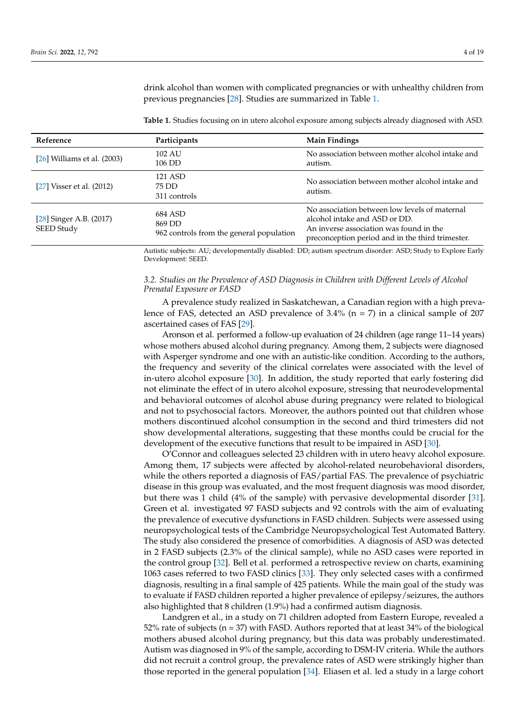drink alcohol than women with complicated pregnancies or with unhealthy children from previous pregnancies [\[28\]](#page-15-5). Studies are summarized in Table [1.](#page-3-0)

<span id="page-3-0"></span>**Table 1.** Studies focusing on in utero alcohol exposure among subjects already diagnosed with ASD.

| Reference                             | Participants                                                  | <b>Main Findings</b>                                                                                                                                                          |
|---------------------------------------|---------------------------------------------------------------|-------------------------------------------------------------------------------------------------------------------------------------------------------------------------------|
| [26] Williams et al. (2003)           | 102 AU<br>106 DD                                              | No association between mother alcohol intake and<br>autism.                                                                                                                   |
| [27] Visser et al. $(2012)$           | 121 ASD<br>75 DD<br>311 controls                              | No association between mother alcohol intake and<br>autism.                                                                                                                   |
| [28] Singer A.B. (2017)<br>SEED Study | 684 ASD<br>869 DD<br>962 controls from the general population | No association between low levels of maternal<br>alcohol intake and ASD or DD.<br>An inverse association was found in the<br>preconception period and in the third trimester. |

Autistic subjects: AU; developmentally disabled: DD; autism spectrum disorder: ASD; Study to Explore Early Development: SEED.

## *3.2. Studies on the Prevalence of ASD Diagnosis in Children with Different Levels of Alcohol Prenatal Exposure or FASD*

A prevalence study realized in Saskatchewan, a Canadian region with a high prevalence of FAS, detected an ASD prevalence of  $3.4\%$  (n = 7) in a clinical sample of 207 ascertained cases of FAS [\[29\]](#page-15-6).

Aronson et al. performed a follow-up evaluation of 24 children (age range 11–14 years) whose mothers abused alcohol during pregnancy. Among them, 2 subjects were diagnosed with Asperger syndrome and one with an autistic-like condition. According to the authors, the frequency and severity of the clinical correlates were associated with the level of in-utero alcohol exposure [\[30\]](#page-15-7). In addition, the study reported that early fostering did not eliminate the effect of in utero alcohol exposure, stressing that neurodevelopmental and behavioral outcomes of alcohol abuse during pregnancy were related to biological and not to psychosocial factors. Moreover, the authors pointed out that children whose mothers discontinued alcohol consumption in the second and third trimesters did not show developmental alterations, suggesting that these months could be crucial for the development of the executive functions that result to be impaired in ASD [\[30\]](#page-15-7).

O'Connor and colleagues selected 23 children with in utero heavy alcohol exposure. Among them, 17 subjects were affected by alcohol-related neurobehavioral disorders, while the others reported a diagnosis of FAS/partial FAS. The prevalence of psychiatric disease in this group was evaluated, and the most frequent diagnosis was mood disorder, but there was 1 child (4% of the sample) with pervasive developmental disorder [\[31\]](#page-15-8). Green et al. investigated 97 FASD subjects and 92 controls with the aim of evaluating the prevalence of executive dysfunctions in FASD children. Subjects were assessed using neuropsychological tests of the Cambridge Neuropsychological Test Automated Battery. The study also considered the presence of comorbidities. A diagnosis of ASD was detected in 2 FASD subjects (2.3% of the clinical sample), while no ASD cases were reported in the control group [\[32\]](#page-15-9). Bell et al. performed a retrospective review on charts, examining 1063 cases referred to two FASD clinics [\[33\]](#page-15-10). They only selected cases with a confirmed diagnosis, resulting in a final sample of 425 patients. While the main goal of the study was to evaluate if FASD children reported a higher prevalence of epilepsy/seizures, the authors also highlighted that 8 children (1.9%) had a confirmed autism diagnosis.

Landgren et al., in a study on 71 children adopted from Eastern Europe, revealed a 52% rate of subjects (n = 37) with FASD. Authors reported that at least 34% of the biological mothers abused alcohol during pregnancy, but this data was probably underestimated. Autism was diagnosed in 9% of the sample, according to DSM-IV criteria. While the authors did not recruit a control group, the prevalence rates of ASD were strikingly higher than those reported in the general population [\[34\]](#page-15-11). Eliasen et al. led a study in a large cohort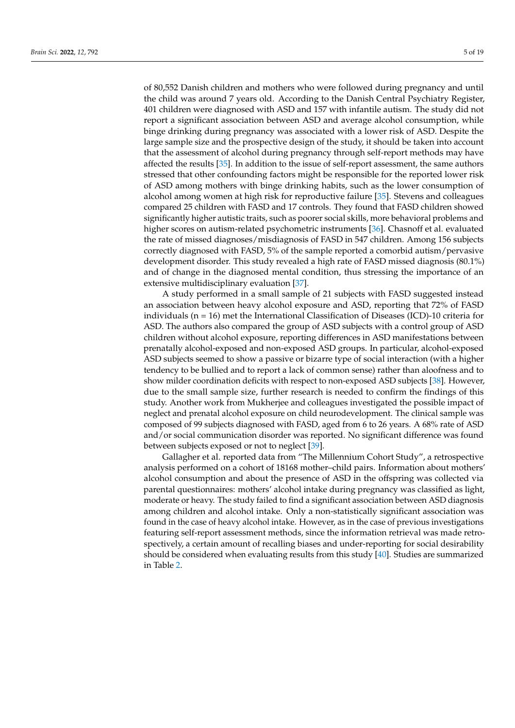of 80,552 Danish children and mothers who were followed during pregnancy and until the child was around 7 years old. According to the Danish Central Psychiatry Register, 401 children were diagnosed with ASD and 157 with infantile autism. The study did not report a significant association between ASD and average alcohol consumption, while binge drinking during pregnancy was associated with a lower risk of ASD. Despite the large sample size and the prospective design of the study, it should be taken into account that the assessment of alcohol during pregnancy through self-report methods may have affected the results [\[35\]](#page-15-12). In addition to the issue of self-report assessment, the same authors stressed that other confounding factors might be responsible for the reported lower risk of ASD among mothers with binge drinking habits, such as the lower consumption of alcohol among women at high risk for reproductive failure [\[35\]](#page-15-12). Stevens and colleagues compared 25 children with FASD and 17 controls. They found that FASD children showed significantly higher autistic traits, such as poorer social skills, more behavioral problems and higher scores on autism-related psychometric instruments [\[36\]](#page-15-13). Chasnoff et al. evaluated the rate of missed diagnoses/misdiagnosis of FASD in 547 children. Among 156 subjects correctly diagnosed with FASD, 5% of the sample reported a comorbid autism/pervasive development disorder. This study revealed a high rate of FASD missed diagnosis (80.1%) and of change in the diagnosed mental condition, thus stressing the importance of an extensive multidisciplinary evaluation [\[37\]](#page-15-14).

A study performed in a small sample of 21 subjects with FASD suggested instead an association between heavy alcohol exposure and ASD, reporting that 72% of FASD individuals (n = 16) met the International Classification of Diseases (ICD)-10 criteria for ASD. The authors also compared the group of ASD subjects with a control group of ASD children without alcohol exposure, reporting differences in ASD manifestations between prenatally alcohol-exposed and non-exposed ASD groups. In particular, alcohol-exposed ASD subjects seemed to show a passive or bizarre type of social interaction (with a higher tendency to be bullied and to report a lack of common sense) rather than aloofness and to show milder coordination deficits with respect to non-exposed ASD subjects [\[38\]](#page-15-15). However, due to the small sample size, further research is needed to confirm the findings of this study. Another work from Mukherjee and colleagues investigated the possible impact of neglect and prenatal alcohol exposure on child neurodevelopment. The clinical sample was composed of 99 subjects diagnosed with FASD, aged from 6 to 26 years. A 68% rate of ASD and/or social communication disorder was reported. No significant difference was found between subjects exposed or not to neglect [\[39\]](#page-15-16).

Gallagher et al. reported data from "The Millennium Cohort Study", a retrospective analysis performed on a cohort of 18168 mother–child pairs. Information about mothers' alcohol consumption and about the presence of ASD in the offspring was collected via parental questionnaires: mothers' alcohol intake during pregnancy was classified as light, moderate or heavy. The study failed to find a significant association between ASD diagnosis among children and alcohol intake. Only a non-statistically significant association was found in the case of heavy alcohol intake. However, as in the case of previous investigations featuring self-report assessment methods, since the information retrieval was made retrospectively, a certain amount of recalling biases and under-reporting for social desirability should be considered when evaluating results from this study [\[40\]](#page-15-17). Studies are summarized in Table [2.](#page-5-0)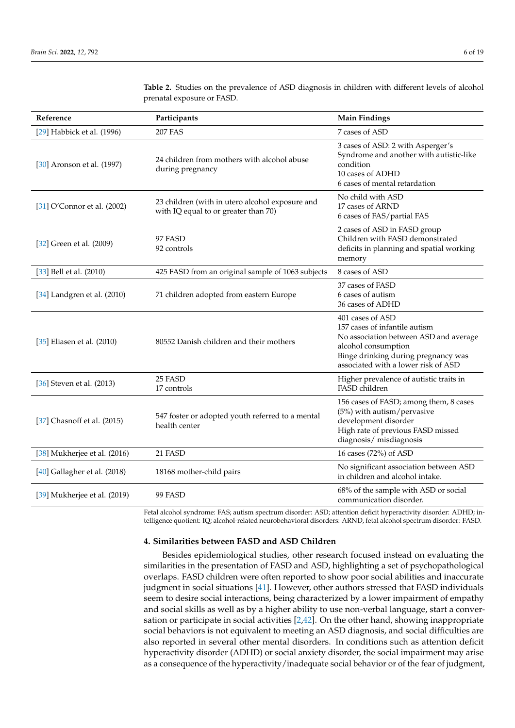| Reference                        | Participants                                                                            | <b>Main Findings</b>                                                                                                                                                                             |
|----------------------------------|-----------------------------------------------------------------------------------------|--------------------------------------------------------------------------------------------------------------------------------------------------------------------------------------------------|
| [29] Habbick et al. (1996)       | <b>207 FAS</b>                                                                          | 7 cases of ASD                                                                                                                                                                                   |
| [30] Aronson et al. (1997)       | 24 children from mothers with alcohol abuse<br>during pregnancy                         | 3 cases of ASD: 2 with Asperger's<br>Syndrome and another with autistic-like<br>condition<br>10 cases of ADHD<br>6 cases of mental retardation                                                   |
| [31] O'Connor et al. (2002)      | 23 children (with in utero alcohol exposure and<br>with IQ equal to or greater than 70) | No child with ASD<br>17 cases of ARND<br>6 cases of FAS/partial FAS                                                                                                                              |
| [32] Green et al. (2009)         | 97 FASD<br>92 controls                                                                  | 2 cases of ASD in FASD group<br>Children with FASD demonstrated<br>deficits in planning and spatial working<br>memory                                                                            |
| [33] Bell et al. (2010)          | 425 FASD from an original sample of 1063 subjects                                       | 8 cases of ASD                                                                                                                                                                                   |
| $[34]$ Landgren et al. $(2010)$  | 71 children adopted from eastern Europe                                                 | 37 cases of FASD<br>6 cases of autism<br>36 cases of ADHD                                                                                                                                        |
| [35] Eliasen et al. (2010)       | 80552 Danish children and their mothers                                                 | 401 cases of ASD<br>157 cases of infantile autism<br>No association between ASD and average<br>alcohol consumption<br>Binge drinking during pregnancy was<br>associated with a lower risk of ASD |
| [36] Steven et al. (2013)        | 25 FASD<br>17 controls                                                                  | Higher prevalence of autistic traits in<br>FASD children                                                                                                                                         |
| [37] Chasnoff et al. (2015)      | 547 foster or adopted youth referred to a mental<br>health center                       | 156 cases of FASD; among them, 8 cases<br>(5%) with autism/pervasive<br>development disorder<br>High rate of previous FASD missed<br>diagnosis/ misdiagnosis                                     |
| [38] Mukherjee et al. (2016)     | 21 FASD                                                                                 | 16 cases (72%) of ASD                                                                                                                                                                            |
| $[40]$ Gallagher et al. $(2018)$ | 18168 mother-child pairs                                                                | No significant association between ASD<br>in children and alcohol intake.                                                                                                                        |
| [39] Mukherjee et al. (2019)     | 99 FASD                                                                                 | 68% of the sample with ASD or social<br>communication disorder.                                                                                                                                  |

<span id="page-5-0"></span>**Table 2.** Studies on the prevalence of ASD diagnosis in children with different levels of alcohol prenatal exposure or FASD.

Fetal alcohol syndrome: FAS; autism spectrum disorder: ASD; attention deficit hyperactivity disorder: ADHD; intelligence quotient: IQ; alcohol-related neurobehavioral disorders: ARND, fetal alcohol spectrum disorder: FASD.

#### **4. Similarities between FASD and ASD Children**

Besides epidemiological studies, other research focused instead on evaluating the similarities in the presentation of FASD and ASD, highlighting a set of psychopathological overlaps. FASD children were often reported to show poor social abilities and inaccurate judgment in social situations [\[41\]](#page-15-18). However, other authors stressed that FASD individuals seem to desire social interactions, being characterized by a lower impairment of empathy and social skills as well as by a higher ability to use non-verbal language, start a conversation or participate in social activities [\[2,](#page-14-1)[42\]](#page-15-19). On the other hand, showing inappropriate social behaviors is not equivalent to meeting an ASD diagnosis, and social difficulties are also reported in several other mental disorders. In conditions such as attention deficit hyperactivity disorder (ADHD) or social anxiety disorder, the social impairment may arise as a consequence of the hyperactivity/inadequate social behavior or of the fear of judgment,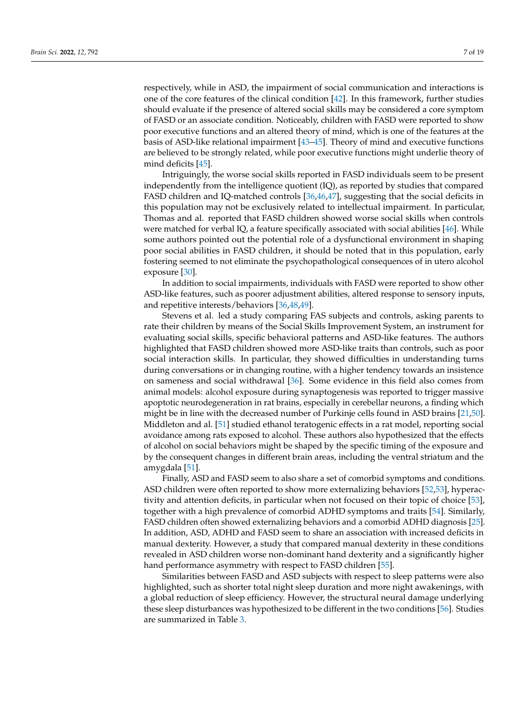respectively, while in ASD, the impairment of social communication and interactions is one of the core features of the clinical condition [\[42\]](#page-15-19). In this framework, further studies should evaluate if the presence of altered social skills may be considered a core symptom of FASD or an associate condition. Noticeably, children with FASD were reported to show poor executive functions and an altered theory of mind, which is one of the features at the basis of ASD-like relational impairment [\[43–](#page-15-20)[45\]](#page-15-21). Theory of mind and executive functions are believed to be strongly related, while poor executive functions might underlie theory of mind deficits [\[45\]](#page-15-21).

Intriguingly, the worse social skills reported in FASD individuals seem to be present independently from the intelligence quotient (IQ), as reported by studies that compared FASD children and IQ-matched controls [\[36,](#page-15-13)[46,](#page-15-22)[47\]](#page-15-23), suggesting that the social deficits in this population may not be exclusively related to intellectual impairment. In particular, Thomas and al. reported that FASD children showed worse social skills when controls were matched for verbal IQ, a feature specifically associated with social abilities [\[46\]](#page-15-22). While some authors pointed out the potential role of a dysfunctional environment in shaping poor social abilities in FASD children, it should be noted that in this population, early fostering seemed to not eliminate the psychopathological consequences of in utero alcohol exposure [\[30\]](#page-15-7).

In addition to social impairments, individuals with FASD were reported to show other ASD-like features, such as poorer adjustment abilities, altered response to sensory inputs, and repetitive interests/behaviors [\[36,](#page-15-13)[48,](#page-16-0)[49\]](#page-16-1).

Stevens et al. led a study comparing FAS subjects and controls, asking parents to rate their children by means of the Social Skills Improvement System, an instrument for evaluating social skills, specific behavioral patterns and ASD-like features. The authors highlighted that FASD children showed more ASD-like traits than controls, such as poor social interaction skills. In particular, they showed difficulties in understanding turns during conversations or in changing routine, with a higher tendency towards an insistence on sameness and social withdrawal [\[36\]](#page-15-13). Some evidence in this field also comes from animal models: alcohol exposure during synaptogenesis was reported to trigger massive apoptotic neurodegeneration in rat brains, especially in cerebellar neurons, a finding which might be in line with the decreased number of Purkinje cells found in ASD brains [\[21,](#page-14-17)[50\]](#page-16-2). Middleton and al. [\[51\]](#page-16-3) studied ethanol teratogenic effects in a rat model, reporting social avoidance among rats exposed to alcohol. These authors also hypothesized that the effects of alcohol on social behaviors might be shaped by the specific timing of the exposure and by the consequent changes in different brain areas, including the ventral striatum and the amygdala [\[51\]](#page-16-3).

Finally, ASD and FASD seem to also share a set of comorbid symptoms and conditions. ASD children were often reported to show more externalizing behaviors [\[52,](#page-16-4)[53\]](#page-16-5), hyperactivity and attention deficits, in particular when not focused on their topic of choice [\[53\]](#page-16-5), together with a high prevalence of comorbid ADHD symptoms and traits [\[54\]](#page-16-6). Similarly, FASD children often showed externalizing behaviors and a comorbid ADHD diagnosis [\[25\]](#page-15-2). In addition, ASD, ADHD and FASD seem to share an association with increased deficits in manual dexterity. However, a study that compared manual dexterity in these conditions revealed in ASD children worse non-dominant hand dexterity and a significantly higher hand performance asymmetry with respect to FASD children [\[55\]](#page-16-7).

Similarities between FASD and ASD subjects with respect to sleep patterns were also highlighted, such as shorter total night sleep duration and more night awakenings, with a global reduction of sleep efficiency. However, the structural neural damage underlying these sleep disturbances was hypothesized to be different in the two conditions [\[56\]](#page-16-8). Studies are summarized in Table [3.](#page-7-0)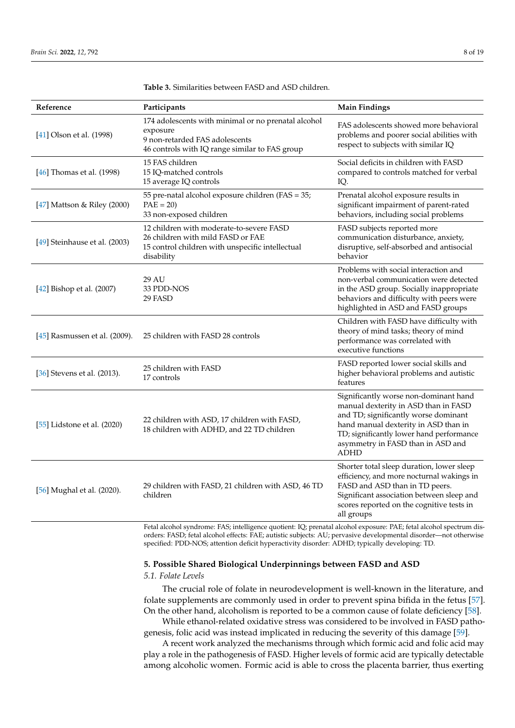| Reference                     | Participants                                                                                                                                        | <b>Main Findings</b>                                                                                                                                                                                                                                          |
|-------------------------------|-----------------------------------------------------------------------------------------------------------------------------------------------------|---------------------------------------------------------------------------------------------------------------------------------------------------------------------------------------------------------------------------------------------------------------|
| [41] Olson et al. (1998)      | 174 adolescents with minimal or no prenatal alcohol<br>exposure<br>9 non-retarded FAS adolescents<br>46 controls with IQ range similar to FAS group | FAS adolescents showed more behavioral<br>problems and poorer social abilities with<br>respect to subjects with similar IQ                                                                                                                                    |
| [46] Thomas et al. (1998)     | 15 FAS children<br>15 IQ-matched controls<br>15 average IQ controls                                                                                 | Social deficits in children with FASD<br>compared to controls matched for verbal<br>IQ.                                                                                                                                                                       |
| [47] Mattson & Riley (2000)   | 55 pre-natal alcohol exposure children (FAS = 35;<br>$PAE = 20$<br>33 non-exposed children                                                          | Prenatal alcohol exposure results in<br>significant impairment of parent-rated<br>behaviors, including social problems                                                                                                                                        |
| [49] Steinhause et al. (2003) | 12 children with moderate-to-severe FASD<br>26 children with mild FASD or FAE<br>15 control children with unspecific intellectual<br>disability     | FASD subjects reported more<br>communication disturbance, anxiety,<br>disruptive, self-absorbed and antisocial<br>behavior                                                                                                                                    |
| [42] Bishop et al. (2007)     | 29 AU<br>33 PDD-NOS<br>29 FASD                                                                                                                      | Problems with social interaction and<br>non-verbal communication were detected<br>in the ASD group. Socially inappropriate<br>behaviors and difficulty with peers were<br>highlighted in ASD and FASD groups                                                  |
| [45] Rasmussen et al. (2009). | 25 children with FASD 28 controls                                                                                                                   | Children with FASD have difficulty with<br>theory of mind tasks; theory of mind<br>performance was correlated with<br>executive functions                                                                                                                     |
| [36] Stevens et al. (2013).   | 25 children with FASD<br>17 controls                                                                                                                | FASD reported lower social skills and<br>higher behavioral problems and autistic<br>features                                                                                                                                                                  |
| [55] Lidstone et al. (2020)   | 22 children with ASD, 17 children with FASD,<br>18 children with ADHD, and 22 TD children                                                           | Significantly worse non-dominant hand<br>manual dexterity in ASD than in FASD<br>and TD; significantly worse dominant<br>hand manual dexterity in ASD than in<br>TD; significantly lower hand performance<br>asymmetry in FASD than in ASD and<br><b>ADHD</b> |
| [56] Mughal et al. (2020).    | 29 children with FASD, 21 children with ASD, 46 TD<br>children                                                                                      | Shorter total sleep duration, lower sleep<br>efficiency, and more nocturnal wakings in<br>FASD and ASD than in TD peers.<br>Significant association between sleep and<br>scores reported on the cognitive tests in<br>all groups                              |

<span id="page-7-0"></span>**Table 3.** Similarities between FASD and ASD children.

Fetal alcohol syndrome: FAS; intelligence quotient: IQ; prenatal alcohol exposure: PAE; fetal alcohol spectrum disorders: FASD; fetal alcohol effects: FAE; autistic subjects: AU; pervasive developmental disorder—not otherwise specified: PDD-NOS; attention deficit hyperactivity disorder: ADHD; typically developing: TD.

#### **5. Possible Shared Biological Underpinnings between FASD and ASD**

#### *5.1. Folate Levels*

The crucial role of folate in neurodevelopment is well-known in the literature, and folate supplements are commonly used in order to prevent spina bifida in the fetus [\[57\]](#page-16-9). On the other hand, alcoholism is reported to be a common cause of folate deficiency [\[58\]](#page-16-10).

While ethanol-related oxidative stress was considered to be involved in FASD pathogenesis, folic acid was instead implicated in reducing the severity of this damage [\[59\]](#page-16-11).

A recent work analyzed the mechanisms through which formic acid and folic acid may play a role in the pathogenesis of FASD. Higher levels of formic acid are typically detectable among alcoholic women. Formic acid is able to cross the placenta barrier, thus exerting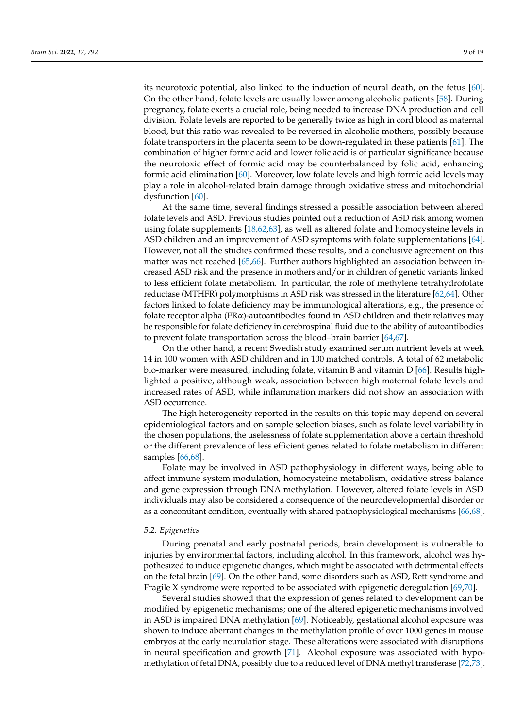its neurotoxic potential, also linked to the induction of neural death, on the fetus [\[60\]](#page-16-12). On the other hand, folate levels are usually lower among alcoholic patients [\[58\]](#page-16-10). During pregnancy, folate exerts a crucial role, being needed to increase DNA production and cell division. Folate levels are reported to be generally twice as high in cord blood as maternal blood, but this ratio was revealed to be reversed in alcoholic mothers, possibly because folate transporters in the placenta seem to be down-regulated in these patients [\[61\]](#page-16-13). The combination of higher formic acid and lower folic acid is of particular significance because the neurotoxic effect of formic acid may be counterbalanced by folic acid, enhancing formic acid elimination [\[60\]](#page-16-12). Moreover, low folate levels and high formic acid levels may play a role in alcohol-related brain damage through oxidative stress and mitochondrial dysfunction [\[60\]](#page-16-12).

At the same time, several findings stressed a possible association between altered folate levels and ASD. Previous studies pointed out a reduction of ASD risk among women using folate supplements [\[18](#page-14-16)[,62](#page-16-14)[,63\]](#page-16-15), as well as altered folate and homocysteine levels in ASD children and an improvement of ASD symptoms with folate supplementations [\[64\]](#page-16-16). However, not all the studies confirmed these results, and a conclusive agreement on this matter was not reached [\[65,](#page-16-17)[66\]](#page-16-18). Further authors highlighted an association between increased ASD risk and the presence in mothers and/or in children of genetic variants linked to less efficient folate metabolism. In particular, the role of methylene tetrahydrofolate reductase (MTHFR) polymorphisms in ASD risk was stressed in the literature [\[62](#page-16-14)[,64\]](#page-16-16). Other factors linked to folate deficiency may be immunological alterations, e.g., the presence of folate receptor alpha (FRα)-autoantibodies found in ASD children and their relatives may be responsible for folate deficiency in cerebrospinal fluid due to the ability of autoantibodies to prevent folate transportation across the blood–brain barrier [\[64](#page-16-16)[,67\]](#page-16-19).

On the other hand, a recent Swedish study examined serum nutrient levels at week 14 in 100 women with ASD children and in 100 matched controls. A total of 62 metabolic bio-marker were measured, including folate, vitamin B and vitamin D [\[66\]](#page-16-18). Results highlighted a positive, although weak, association between high maternal folate levels and increased rates of ASD, while inflammation markers did not show an association with ASD occurrence.

The high heterogeneity reported in the results on this topic may depend on several epidemiological factors and on sample selection biases, such as folate level variability in the chosen populations, the uselessness of folate supplementation above a certain threshold or the different prevalence of less efficient genes related to folate metabolism in different samples [\[66,](#page-16-18)[68\]](#page-16-20).

Folate may be involved in ASD pathophysiology in different ways, being able to affect immune system modulation, homocysteine metabolism, oxidative stress balance and gene expression through DNA methylation. However, altered folate levels in ASD individuals may also be considered a consequence of the neurodevelopmental disorder or as a concomitant condition, eventually with shared pathophysiological mechanisms [\[66](#page-16-18)[,68\]](#page-16-20).

#### *5.2. Epigenetics*

During prenatal and early postnatal periods, brain development is vulnerable to injuries by environmental factors, including alcohol. In this framework, alcohol was hypothesized to induce epigenetic changes, which might be associated with detrimental effects on the fetal brain [\[69\]](#page-16-21). On the other hand, some disorders such as ASD, Rett syndrome and Fragile X syndrome were reported to be associated with epigenetic deregulation [\[69,](#page-16-21)[70\]](#page-16-22).

Several studies showed that the expression of genes related to development can be modified by epigenetic mechanisms; one of the altered epigenetic mechanisms involved in ASD is impaired DNA methylation [\[69\]](#page-16-21). Noticeably, gestational alcohol exposure was shown to induce aberrant changes in the methylation profile of over 1000 genes in mouse embryos at the early neurulation stage. These alterations were associated with disruptions in neural specification and growth [\[71\]](#page-16-23). Alcohol exposure was associated with hypomethylation of fetal DNA, possibly due to a reduced level of DNA methyl transferase [\[72](#page-16-24)[,73\]](#page-16-25).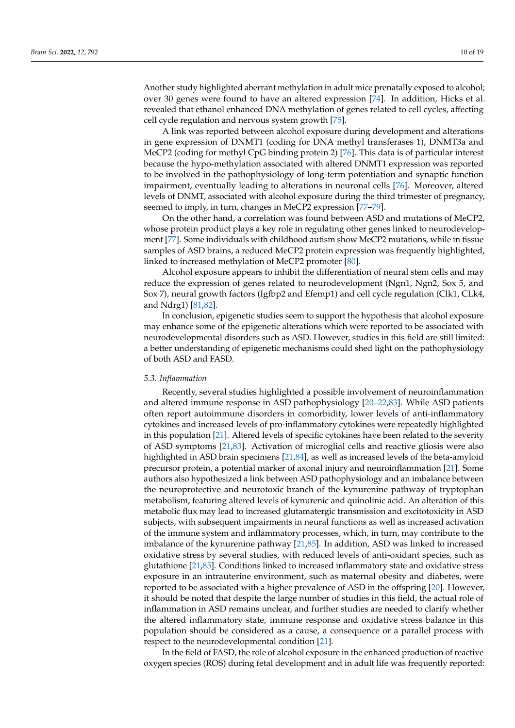Another study highlighted aberrant methylation in adult mice prenatally exposed to alcohol; over 30 genes were found to have an altered expression [\[74\]](#page-16-26). In addition, Hicks et al. revealed that ethanol enhanced DNA methylation of genes related to cell cycles, affecting cell cycle regulation and nervous system growth [\[75\]](#page-16-27).

A link was reported between alcohol exposure during development and alterations in gene expression of DNMT1 (coding for DNA methyl transferases 1), DNMT3a and MeCP2 (coding for methyl CpG binding protein 2) [\[76\]](#page-17-0). This data is of particular interest because the hypo-methylation associated with altered DNMT1 expression was reported to be involved in the pathophysiology of long-term potentiation and synaptic function impairment, eventually leading to alterations in neuronal cells [\[76\]](#page-17-0). Moreover, altered levels of DNMT, associated with alcohol exposure during the third trimester of pregnancy, seemed to imply, in turn, changes in MeCP2 expression [\[77](#page-17-1)[–79\]](#page-17-2).

On the other hand, a correlation was found between ASD and mutations of MeCP2, whose protein product plays a key role in regulating other genes linked to neurodevelopment [\[77\]](#page-17-1). Some individuals with childhood autism show MeCP2 mutations, while in tissue samples of ASD brains, a reduced MeCP2 protein expression was frequently highlighted, linked to increased methylation of MeCP2 promoter [\[80\]](#page-17-3).

Alcohol exposure appears to inhibit the differentiation of neural stem cells and may reduce the expression of genes related to neurodevelopment (Ngn1, Ngn2, Sox 5, and Sox 7), neural growth factors (Igfbp2 and Efemp1) and cell cycle regulation (Clk1, CLk4, and Ndrg1) [\[81](#page-17-4)[,82\]](#page-17-5).

In conclusion, epigenetic studies seem to support the hypothesis that alcohol exposure may enhance some of the epigenetic alterations which were reported to be associated with neurodevelopmental disorders such as ASD. However, studies in this field are still limited: a better understanding of epigenetic mechanisms could shed light on the pathophysiology of both ASD and FASD.

#### *5.3. Inflammation*

Recently, several studies highlighted a possible involvement of neuroinflammation and altered immune response in ASD pathophysiology [\[20](#page-14-18)[–22,](#page-15-0)[83\]](#page-17-6). While ASD patients often report autoimmune disorders in comorbidity, lower levels of anti-inflammatory cytokines and increased levels of pro-inflammatory cytokines were repeatedly highlighted in this population [\[21\]](#page-14-17). Altered levels of specific cytokines have been related to the severity of ASD symptoms [\[21](#page-14-17)[,83\]](#page-17-6). Activation of microglial cells and reactive gliosis were also highlighted in ASD brain specimens [\[21,](#page-14-17)[84\]](#page-17-7), as well as increased levels of the beta-amyloid precursor protein, a potential marker of axonal injury and neuroinflammation [\[21\]](#page-14-17). Some authors also hypothesized a link between ASD pathophysiology and an imbalance between the neuroprotective and neurotoxic branch of the kynurenine pathway of tryptophan metabolism, featuring altered levels of kynurenic and quinolinic acid. An alteration of this metabolic flux may lead to increased glutamatergic transmission and excitotoxicity in ASD subjects, with subsequent impairments in neural functions as well as increased activation of the immune system and inflammatory processes, which, in turn, may contribute to the imbalance of the kynurenine pathway [\[21,](#page-14-17)[85\]](#page-17-8). In addition, ASD was linked to increased oxidative stress by several studies, with reduced levels of anti-oxidant species, such as glutathione [\[21](#page-14-17)[,85\]](#page-17-8). Conditions linked to increased inflammatory state and oxidative stress exposure in an intrauterine environment, such as maternal obesity and diabetes, were reported to be associated with a higher prevalence of ASD in the offspring [\[20\]](#page-14-18). However, it should be noted that despite the large number of studies in this field, the actual role of inflammation in ASD remains unclear, and further studies are needed to clarify whether the altered inflammatory state, immune response and oxidative stress balance in this population should be considered as a cause, a consequence or a parallel process with respect to the neurodevelopmental condition [\[21\]](#page-14-17).

In the field of FASD, the role of alcohol exposure in the enhanced production of reactive oxygen species (ROS) during fetal development and in adult life was frequently reported: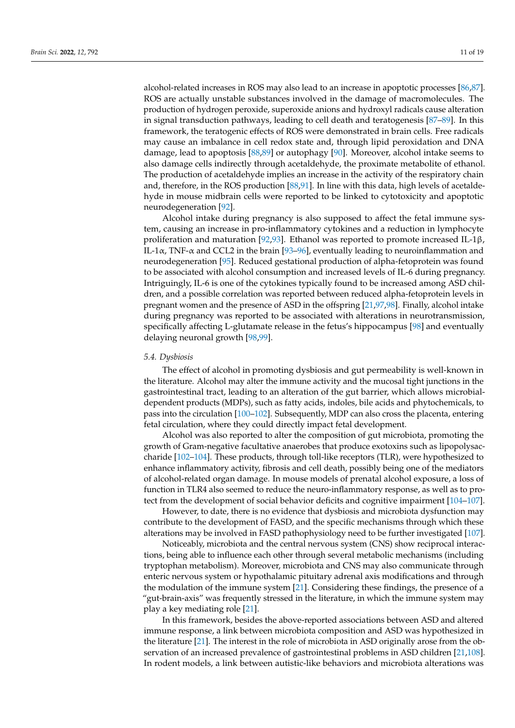alcohol-related increases in ROS may also lead to an increase in apoptotic processes [\[86](#page-17-9)[,87\]](#page-17-10). ROS are actually unstable substances involved in the damage of macromolecules. The production of hydrogen peroxide, superoxide anions and hydroxyl radicals cause alteration in signal transduction pathways, leading to cell death and teratogenesis [\[87](#page-17-10)[–89\]](#page-17-11). In this framework, the teratogenic effects of ROS were demonstrated in brain cells. Free radicals may cause an imbalance in cell redox state and, through lipid peroxidation and DNA damage, lead to apoptosis [\[88](#page-17-12)[,89\]](#page-17-11) or autophagy [\[90\]](#page-17-13). Moreover, alcohol intake seems to also damage cells indirectly through acetaldehyde, the proximate metabolite of ethanol. The production of acetaldehyde implies an increase in the activity of the respiratory chain and, therefore, in the ROS production [\[88,](#page-17-12)[91\]](#page-17-14). In line with this data, high levels of acetaldehyde in mouse midbrain cells were reported to be linked to cytotoxicity and apoptotic neurodegeneration [\[92\]](#page-17-15).

Alcohol intake during pregnancy is also supposed to affect the fetal immune system, causing an increase in pro-inflammatory cytokines and a reduction in lymphocyte proliferation and maturation [\[92,](#page-17-15)[93\]](#page-17-16). Ethanol was reported to promote increased IL-1β, IL-1 $\alpha$ , TNF- $\alpha$  and CCL2 in the brain [\[93](#page-17-16)[–96\]](#page-17-17), eventually leading to neuroinflammation and neurodegeneration [\[95\]](#page-17-18). Reduced gestational production of alpha-fetoprotein was found to be associated with alcohol consumption and increased levels of IL-6 during pregnancy. Intriguingly, IL-6 is one of the cytokines typically found to be increased among ASD children, and a possible correlation was reported between reduced alpha-fetoprotein levels in pregnant women and the presence of ASD in the offspring [\[21](#page-14-17)[,97](#page-17-19)[,98\]](#page-17-20). Finally, alcohol intake during pregnancy was reported to be associated with alterations in neurotransmission, specifically affecting L-glutamate release in the fetus's hippocampus [\[98\]](#page-17-20) and eventually delaying neuronal growth [\[98,](#page-17-20)[99\]](#page-17-21).

#### *5.4. Dysbiosis*

The effect of alcohol in promoting dysbiosis and gut permeability is well-known in the literature. Alcohol may alter the immune activity and the mucosal tight junctions in the gastrointestinal tract, leading to an alteration of the gut barrier, which allows microbialdependent products (MDPs), such as fatty acids, indoles, bile acids and phytochemicals, to pass into the circulation [\[100](#page-17-22)[–102\]](#page-17-23). Subsequently, MDP can also cross the placenta, entering fetal circulation, where they could directly impact fetal development.

Alcohol was also reported to alter the composition of gut microbiota, promoting the growth of Gram-negative facultative anaerobes that produce exotoxins such as lipopolysaccharide [\[102–](#page-17-23)[104\]](#page-18-0). These products, through toll-like receptors (TLR), were hypothesized to enhance inflammatory activity, fibrosis and cell death, possibly being one of the mediators of alcohol-related organ damage. In mouse models of prenatal alcohol exposure, a loss of function in TLR4 also seemed to reduce the neuro-inflammatory response, as well as to protect from the development of social behavior deficits and cognitive impairment [\[104–](#page-18-0)[107\]](#page-18-1).

However, to date, there is no evidence that dysbiosis and microbiota dysfunction may contribute to the development of FASD, and the specific mechanisms through which these alterations may be involved in FASD pathophysiology need to be further investigated [\[107\]](#page-18-1).

Noticeably, microbiota and the central nervous system (CNS) show reciprocal interactions, being able to influence each other through several metabolic mechanisms (including tryptophan metabolism). Moreover, microbiota and CNS may also communicate through enteric nervous system or hypothalamic pituitary adrenal axis modifications and through the modulation of the immune system [\[21\]](#page-14-17). Considering these findings, the presence of a "gut-brain-axis" was frequently stressed in the literature, in which the immune system may play a key mediating role [\[21\]](#page-14-17).

In this framework, besides the above-reported associations between ASD and altered immune response, a link between microbiota composition and ASD was hypothesized in the literature [\[21\]](#page-14-17). The interest in the role of microbiota in ASD originally arose from the observation of an increased prevalence of gastrointestinal problems in ASD children [\[21](#page-14-17)[,108\]](#page-18-2). In rodent models, a link between autistic-like behaviors and microbiota alterations was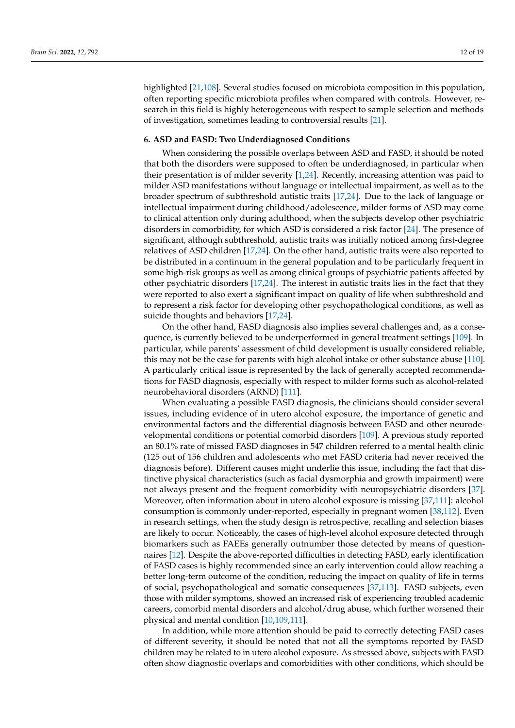highlighted [\[21](#page-14-17)[,108\]](#page-18-2). Several studies focused on microbiota composition in this population, often reporting specific microbiota profiles when compared with controls. However, research in this field is highly heterogeneous with respect to sample selection and methods of investigation, sometimes leading to controversial results [\[21\]](#page-14-17).

#### **6. ASD and FASD: Two Underdiagnosed Conditions**

When considering the possible overlaps between ASD and FASD, it should be noted that both the disorders were supposed to often be underdiagnosed, in particular when their presentation is of milder severity [\[1,](#page-14-0)[24\]](#page-15-1). Recently, increasing attention was paid to milder ASD manifestations without language or intellectual impairment, as well as to the broader spectrum of subthreshold autistic traits [\[17,](#page-14-15)[24\]](#page-15-1). Due to the lack of language or intellectual impairment during childhood/adolescence, milder forms of ASD may come to clinical attention only during adulthood, when the subjects develop other psychiatric disorders in comorbidity, for which ASD is considered a risk factor [\[24\]](#page-15-1). The presence of significant, although subthreshold, autistic traits was initially noticed among first-degree relatives of ASD children [\[17](#page-14-15)[,24\]](#page-15-1). On the other hand, autistic traits were also reported to be distributed in a continuum in the general population and to be particularly frequent in some high-risk groups as well as among clinical groups of psychiatric patients affected by other psychiatric disorders [\[17](#page-14-15)[,24\]](#page-15-1). The interest in autistic traits lies in the fact that they were reported to also exert a significant impact on quality of life when subthreshold and to represent a risk factor for developing other psychopathological conditions, as well as suicide thoughts and behaviors [\[17](#page-14-15)[,24\]](#page-15-1).

On the other hand, FASD diagnosis also implies several challenges and, as a consequence, is currently believed to be underperformed in general treatment settings [\[109\]](#page-18-3). In particular, while parents' assessment of child development is usually considered reliable, this may not be the case for parents with high alcohol intake or other substance abuse [\[110\]](#page-18-4). A particularly critical issue is represented by the lack of generally accepted recommendations for FASD diagnosis, especially with respect to milder forms such as alcohol-related neurobehavioral disorders (ARND) [\[111\]](#page-18-5).

When evaluating a possible FASD diagnosis, the clinicians should consider several issues, including evidence of in utero alcohol exposure, the importance of genetic and environmental factors and the differential diagnosis between FASD and other neurodevelopmental conditions or potential comorbid disorders [\[109\]](#page-18-3). A previous study reported an 80.1% rate of missed FASD diagnoses in 547 children referred to a mental health clinic (125 out of 156 children and adolescents who met FASD criteria had never received the diagnosis before). Different causes might underlie this issue, including the fact that distinctive physical characteristics (such as facial dysmorphia and growth impairment) were not always present and the frequent comorbidity with neuropsychiatric disorders [\[37\]](#page-15-14). Moreover, often information about in utero alcohol exposure is missing [\[37](#page-15-14)[,111\]](#page-18-5): alcohol consumption is commonly under-reported, especially in pregnant women [\[38](#page-15-15)[,112\]](#page-18-6). Even in research settings, when the study design is retrospective, recalling and selection biases are likely to occur. Noticeably, the cases of high-level alcohol exposure detected through biomarkers such as FAEEs generally outnumber those detected by means of questionnaires [\[12\]](#page-14-11). Despite the above-reported difficulties in detecting FASD, early identification of FASD cases is highly recommended since an early intervention could allow reaching a better long-term outcome of the condition, reducing the impact on quality of life in terms of social, psychopathological and somatic consequences [\[37](#page-15-14)[,113\]](#page-18-7). FASD subjects, even those with milder symptoms, showed an increased risk of experiencing troubled academic careers, comorbid mental disorders and alcohol/drug abuse, which further worsened their physical and mental condition [\[10](#page-14-9)[,109](#page-18-3)[,111\]](#page-18-5).

In addition, while more attention should be paid to correctly detecting FASD cases of different severity, it should be noted that not all the symptoms reported by FASD children may be related to in utero alcohol exposure. As stressed above, subjects with FASD often show diagnostic overlaps and comorbidities with other conditions, which should be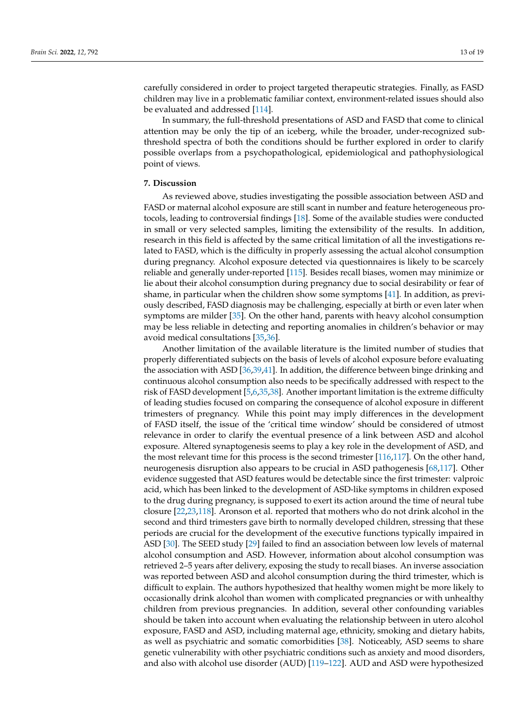carefully considered in order to project targeted therapeutic strategies. Finally, as FASD children may live in a problematic familiar context, environment-related issues should also be evaluated and addressed [\[114\]](#page-18-8).

In summary, the full-threshold presentations of ASD and FASD that come to clinical attention may be only the tip of an iceberg, while the broader, under-recognized subthreshold spectra of both the conditions should be further explored in order to clarify possible overlaps from a psychopathological, epidemiological and pathophysiological point of views.

#### **7. Discussion**

As reviewed above, studies investigating the possible association between ASD and FASD or maternal alcohol exposure are still scant in number and feature heterogeneous protocols, leading to controversial findings [\[18\]](#page-14-16). Some of the available studies were conducted in small or very selected samples, limiting the extensibility of the results. In addition, research in this field is affected by the same critical limitation of all the investigations related to FASD, which is the difficulty in properly assessing the actual alcohol consumption during pregnancy. Alcohol exposure detected via questionnaires is likely to be scarcely reliable and generally under-reported [\[115\]](#page-18-9). Besides recall biases, women may minimize or lie about their alcohol consumption during pregnancy due to social desirability or fear of shame, in particular when the children show some symptoms [\[41\]](#page-15-18). In addition, as previously described, FASD diagnosis may be challenging, especially at birth or even later when symptoms are milder [\[35\]](#page-15-12). On the other hand, parents with heavy alcohol consumption may be less reliable in detecting and reporting anomalies in children's behavior or may avoid medical consultations [\[35,](#page-15-12)[36\]](#page-15-13).

Another limitation of the available literature is the limited number of studies that properly differentiated subjects on the basis of levels of alcohol exposure before evaluating the association with ASD [\[36,](#page-15-13)[39,](#page-15-16)[41\]](#page-15-18). In addition, the difference between binge drinking and continuous alcohol consumption also needs to be specifically addressed with respect to the risk of FASD development [\[5](#page-14-4)[,6](#page-14-5)[,35,](#page-15-12)[38\]](#page-15-15). Another important limitation is the extreme difficulty of leading studies focused on comparing the consequence of alcohol exposure in different trimesters of pregnancy. While this point may imply differences in the development of FASD itself, the issue of the 'critical time window' should be considered of utmost relevance in order to clarify the eventual presence of a link between ASD and alcohol exposure. Altered synaptogenesis seems to play a key role in the development of ASD, and the most relevant time for this process is the second trimester [\[116](#page-18-10)[,117\]](#page-18-11). On the other hand, neurogenesis disruption also appears to be crucial in ASD pathogenesis [\[68,](#page-16-20)[117\]](#page-18-11). Other evidence suggested that ASD features would be detectable since the first trimester: valproic acid, which has been linked to the development of ASD-like symptoms in children exposed to the drug during pregnancy, is supposed to exert its action around the time of neural tube closure [\[22,](#page-15-0)[23,](#page-15-24)[118\]](#page-18-12). Aronson et al. reported that mothers who do not drink alcohol in the second and third trimesters gave birth to normally developed children, stressing that these periods are crucial for the development of the executive functions typically impaired in ASD [\[30\]](#page-15-7). The SEED study [\[29\]](#page-15-6) failed to find an association between low levels of maternal alcohol consumption and ASD. However, information about alcohol consumption was retrieved 2–5 years after delivery, exposing the study to recall biases. An inverse association was reported between ASD and alcohol consumption during the third trimester, which is difficult to explain. The authors hypothesized that healthy women might be more likely to occasionally drink alcohol than women with complicated pregnancies or with unhealthy children from previous pregnancies. In addition, several other confounding variables should be taken into account when evaluating the relationship between in utero alcohol exposure, FASD and ASD, including maternal age, ethnicity, smoking and dietary habits, as well as psychiatric and somatic comorbidities [\[38\]](#page-15-15). Noticeably, ASD seems to share genetic vulnerability with other psychiatric conditions such as anxiety and mood disorders, and also with alcohol use disorder (AUD) [\[119–](#page-18-13)[122\]](#page-18-14). AUD and ASD were hypothesized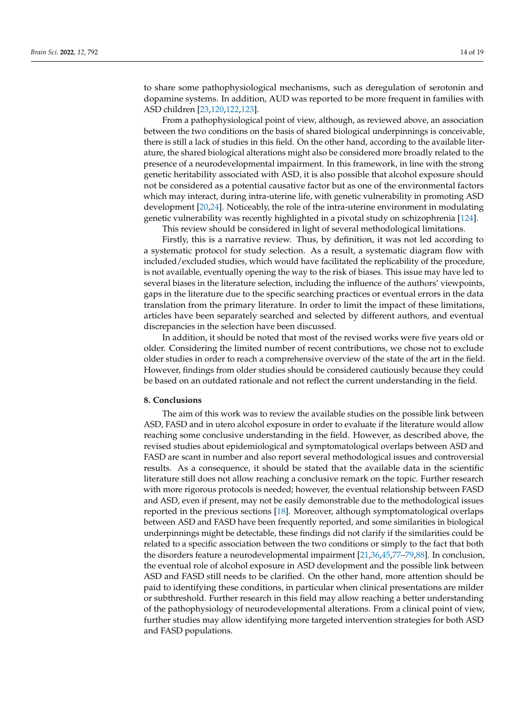to share some pathophysiological mechanisms, such as deregulation of serotonin and dopamine systems. In addition, AUD was reported to be more frequent in families with ASD children [\[23](#page-15-24)[,120](#page-18-15)[,122](#page-18-14)[,123\]](#page-18-16).

From a pathophysiological point of view, although, as reviewed above, an association between the two conditions on the basis of shared biological underpinnings is conceivable, there is still a lack of studies in this field. On the other hand, according to the available literature, the shared biological alterations might also be considered more broadly related to the presence of a neurodevelopmental impairment. In this framework, in line with the strong genetic heritability associated with ASD, it is also possible that alcohol exposure should not be considered as a potential causative factor but as one of the environmental factors which may interact, during intra-uterine life, with genetic vulnerability in promoting ASD development [\[20](#page-14-18)[,24\]](#page-15-1). Noticeably, the role of the intra-uterine environment in modulating genetic vulnerability was recently highlighted in a pivotal study on schizophrenia [\[124\]](#page-18-17).

This review should be considered in light of several methodological limitations.

Firstly, this is a narrative review. Thus, by definition, it was not led according to a systematic protocol for study selection. As a result, a systematic diagram flow with included/excluded studies, which would have facilitated the replicability of the procedure, is not available, eventually opening the way to the risk of biases. This issue may have led to several biases in the literature selection, including the influence of the authors' viewpoints, gaps in the literature due to the specific searching practices or eventual errors in the data translation from the primary literature. In order to limit the impact of these limitations, articles have been separately searched and selected by different authors, and eventual discrepancies in the selection have been discussed.

In addition, it should be noted that most of the revised works were five years old or older. Considering the limited number of recent contributions, we chose not to exclude older studies in order to reach a comprehensive overview of the state of the art in the field. However, findings from older studies should be considered cautiously because they could be based on an outdated rationale and not reflect the current understanding in the field.

### **8. Conclusions**

The aim of this work was to review the available studies on the possible link between ASD, FASD and in utero alcohol exposure in order to evaluate if the literature would allow reaching some conclusive understanding in the field. However, as described above, the revised studies about epidemiological and symptomatological overlaps between ASD and FASD are scant in number and also report several methodological issues and controversial results. As a consequence, it should be stated that the available data in the scientific literature still does not allow reaching a conclusive remark on the topic. Further research with more rigorous protocols is needed; however, the eventual relationship between FASD and ASD, even if present, may not be easily demonstrable due to the methodological issues reported in the previous sections [\[18\]](#page-14-16). Moreover, although symptomatological overlaps between ASD and FASD have been frequently reported, and some similarities in biological underpinnings might be detectable, these findings did not clarify if the similarities could be related to a specific association between the two conditions or simply to the fact that both the disorders feature a neurodevelopmental impairment [\[21](#page-14-17)[,36](#page-15-13)[,45](#page-15-21)[,77–](#page-17-1)[79,](#page-17-2)[88\]](#page-17-12). In conclusion, the eventual role of alcohol exposure in ASD development and the possible link between ASD and FASD still needs to be clarified. On the other hand, more attention should be paid to identifying these conditions, in particular when clinical presentations are milder or subthreshold. Further research in this field may allow reaching a better understanding of the pathophysiology of neurodevelopmental alterations. From a clinical point of view, further studies may allow identifying more targeted intervention strategies for both ASD and FASD populations.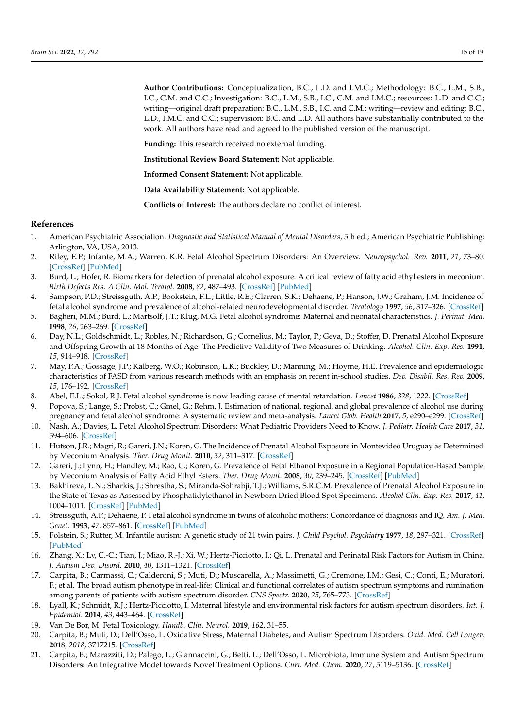**Author Contributions:** Conceptualization, B.C., L.D. and I.M.C.; Methodology: B.C., L.M., S.B., I.C., C.M. and C.C.; Investigation: B.C., L.M., S.B., I.C., C.M. and I.M.C.; resources: L.D. and C.C.; writing—original draft preparation: B.C., L.M., S.B., I.C. and C.M.; writing—review and editing: B.C., L.D., I.M.C. and C.C.; supervision: B.C. and L.D. All authors have substantially contributed to the work. All authors have read and agreed to the published version of the manuscript.

**Funding:** This research received no external funding.

**Institutional Review Board Statement:** Not applicable.

**Informed Consent Statement:** Not applicable.

**Data Availability Statement:** Not applicable.

**Conflicts of Interest:** The authors declare no conflict of interest.

#### **References**

- <span id="page-14-0"></span>1. American Psychiatric Association. *Diagnostic and Statistical Manual of Mental Disorders*, 5th ed.; American Psychiatric Publishing: Arlington, VA, USA, 2013.
- <span id="page-14-1"></span>2. Riley, E.P.; Infante, M.A.; Warren, K.R. Fetal Alcohol Spectrum Disorders: An Overview. *Neuropsychol. Rev.* **2011**, *21*, 73–80. [\[CrossRef\]](http://doi.org/10.1007/s11065-011-9166-x) [\[PubMed\]](http://www.ncbi.nlm.nih.gov/pubmed/21499711)
- <span id="page-14-2"></span>3. Burd, L.; Hofer, R. Biomarkers for detection of prenatal alcohol exposure: A critical review of fatty acid ethyl esters in meconium. *Birth Defects Res. A Clin. Mol. Teratol.* **2008**, *82*, 487–493. [\[CrossRef\]](http://doi.org/10.1002/bdra.20464) [\[PubMed\]](http://www.ncbi.nlm.nih.gov/pubmed/18435469)
- <span id="page-14-3"></span>4. Sampson, P.D.; Streissguth, A.P.; Bookstein, F.L.; Little, R.E.; Clarren, S.K.; Dehaene, P.; Hanson, J.W.; Graham, J.M. Incidence of fetal alcohol syndrome and prevalence of alcohol-related neurodevelopmental disorder. *Teratology* **1997**, *56*, 317–326. [\[CrossRef\]](http://doi.org/10.1002/(SICI)1096-9926(199711)56:5<317::AID-TERA5>3.0.CO;2-U)
- <span id="page-14-4"></span>5. Bagheri, M.M.; Burd, L.; Martsolf, J.T.; Klug, M.G. Fetal alcohol syndrome: Maternal and neonatal characteristics. *J. Périnat. Med.* **1998**, *26*, 263–269. [\[CrossRef\]](http://doi.org/10.1515/jpme.1998.26.4.263)
- <span id="page-14-5"></span>6. Day, N.L.; Goldschmidt, L.; Robles, N.; Richardson, G.; Cornelius, M.; Taylor, P.; Geva, D.; Stoffer, D. Prenatal Alcohol Exposure and Offspring Growth at 18 Months of Age: The Predictive Validity of Two Measures of Drinking. *Alcohol. Clin. Exp. Res.* **1991**, *15*, 914–918. [\[CrossRef\]](http://doi.org/10.1111/j.1530-0277.1991.tb05187.x)
- <span id="page-14-6"></span>7. May, P.A.; Gossage, J.P.; Kalberg, W.O.; Robinson, L.K.; Buckley, D.; Manning, M.; Hoyme, H.E. Prevalence and epidemiologic characteristics of FASD from various research methods with an emphasis on recent in-school studies. *Dev. Disabil. Res. Rev.* **2009**, *15*, 176–192. [\[CrossRef\]](http://doi.org/10.1002/ddrr.68)
- <span id="page-14-7"></span>8. Abel, E.L.; Sokol, R.J. Fetal alcohol syndrome is now leading cause of mental retardation. *Lancet* **1986**, *328*, 1222. [\[CrossRef\]](http://doi.org/10.1016/S0140-6736(86)92234-8)
- <span id="page-14-8"></span>9. Popova, S.; Lange, S.; Probst, C.; Gmel, G.; Rehm, J. Estimation of national, regional, and global prevalence of alcohol use during pregnancy and fetal alcohol syndrome: A systematic review and meta-analysis. *Lancet Glob. Health* **2017**, *5*, e290–e299. [\[CrossRef\]](http://doi.org/10.1016/S2214-109X(17)30021-9)
- <span id="page-14-9"></span>10. Nash, A.; Davies, L. Fetal Alcohol Spectrum Disorders: What Pediatric Providers Need to Know. *J. Pediatr. Health Care* **2017**, *31*, 594–606. [\[CrossRef\]](http://doi.org/10.1016/j.pedhc.2017.04.002)
- <span id="page-14-10"></span>11. Hutson, J.R.; Magri, R.; Gareri, J.N.; Koren, G. The Incidence of Prenatal Alcohol Exposure in Montevideo Uruguay as Determined by Meconium Analysis. *Ther. Drug Monit.* **2010**, *32*, 311–317. [\[CrossRef\]](http://doi.org/10.1097/FTD.0b013e3181dda52a)
- <span id="page-14-11"></span>12. Gareri, J.; Lynn, H.; Handley, M.; Rao, C.; Koren, G. Prevalence of Fetal Ethanol Exposure in a Regional Population-Based Sample by Meconium Analysis of Fatty Acid Ethyl Esters. *Ther. Drug Monit.* **2008**, *30*, 239–245. [\[CrossRef\]](http://doi.org/10.1097/FTD.0b013e318167cfe5) [\[PubMed\]](http://www.ncbi.nlm.nih.gov/pubmed/18367988)
- <span id="page-14-12"></span>13. Bakhireva, L.N.; Sharkis, J.; Shrestha, S.; Miranda-Sohrabji, T.J.; Williams, S.R.C.M. Prevalence of Prenatal Alcohol Exposure in the State of Texas as Assessed by Phosphatidylethanol in Newborn Dried Blood Spot Specimens. *Alcohol Clin. Exp. Res.* **2017**, *41*, 1004–1011. [\[CrossRef\]](http://doi.org/10.1111/acer.13375) [\[PubMed\]](http://www.ncbi.nlm.nih.gov/pubmed/28294365)
- <span id="page-14-13"></span>14. Streissguth, A.P.; Dehaene, P. Fetal alcohol syndrome in twins of alcoholic mothers: Concordance of diagnosis and IQ. *Am. J. Med. Genet.* **1993**, *47*, 857–861. [\[CrossRef\]](http://doi.org/10.1002/ajmg.1320470612) [\[PubMed\]](http://www.ncbi.nlm.nih.gov/pubmed/8279483)
- <span id="page-14-14"></span>15. Folstein, S.; Rutter, M. Infantile autism: A genetic study of 21 twin pairs. *J. Child Psychol. Psychiatry* **1977**, *18*, 297–321. [\[CrossRef\]](http://doi.org/10.1111/j.1469-7610.1977.tb00443.x) [\[PubMed\]](http://www.ncbi.nlm.nih.gov/pubmed/562353)
- 16. Zhang, X.; Lv, C.-C.; Tian, J.; Miao, R.-J.; Xi, W.; Hertz-Picciotto, I.; Qi, L. Prenatal and Perinatal Risk Factors for Autism in China. *J. Autism Dev. Disord.* **2010**, *40*, 1311–1321. [\[CrossRef\]](http://doi.org/10.1007/s10803-010-0992-0)
- <span id="page-14-15"></span>17. Carpita, B.; Carmassi, C.; Calderoni, S.; Muti, D.; Muscarella, A.; Massimetti, G.; Cremone, I.M.; Gesi, C.; Conti, E.; Muratori, F.; et al. The broad autism phenotype in real-life: Clinical and functional correlates of autism spectrum symptoms and rumination among parents of patients with autism spectrum disorder. *CNS Spectr.* **2020**, *25*, 765–773. [\[CrossRef\]](http://doi.org/10.1017/S1092852919001615)
- <span id="page-14-16"></span>18. Lyall, K.; Schmidt, R.J.; Hertz-Picciotto, I. Maternal lifestyle and environmental risk factors for autism spectrum disorders. *Int. J. Epidemiol.* **2014**, *43*, 443–464. [\[CrossRef\]](http://doi.org/10.1093/ije/dyt282)
- 19. Van De Bor, M. Fetal Toxicology. *Handb. Clin. Neurol.* **2019**, *162*, 31–55.
- <span id="page-14-18"></span>20. Carpita, B.; Muti, D.; Dell'Osso, L. Oxidative Stress, Maternal Diabetes, and Autism Spectrum Disorders. *Oxid. Med. Cell Longev.* **2018**, *2018*, 3717215. [\[CrossRef\]](http://doi.org/10.1155/2018/3717215)
- <span id="page-14-17"></span>21. Carpita, B.; Marazziti, D.; Palego, L.; Giannaccini, G.; Betti, L.; Dell'Osso, L. Microbiota, Immune System and Autism Spectrum Disorders: An Integrative Model towards Novel Treatment Options. *Curr. Med. Chem.* **2020**, *27*, 5119–5136. [\[CrossRef\]](http://doi.org/10.2174/0929867326666190328151539)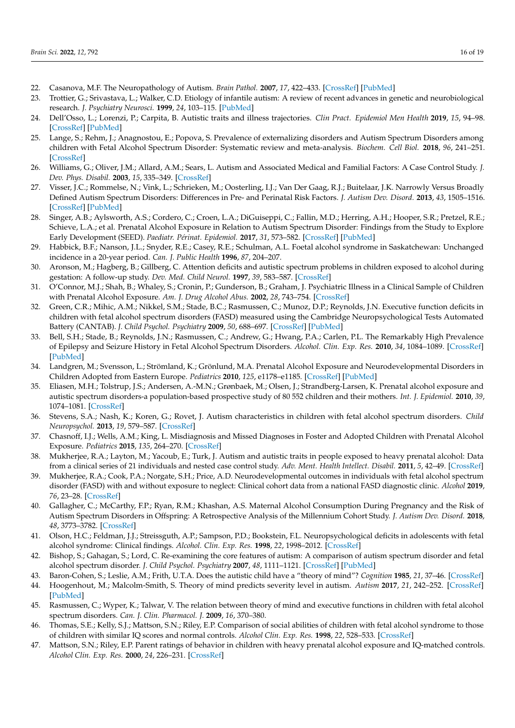- <span id="page-15-0"></span>22. Casanova, M.F. The Neuropathology of Autism. *Brain Pathol.* **2007**, *17*, 422–433. [\[CrossRef\]](http://doi.org/10.1111/j.1750-3639.2007.00100.x) [\[PubMed\]](http://www.ncbi.nlm.nih.gov/pubmed/17919128)
- <span id="page-15-24"></span>23. Trottier, G.; Srivastava, L.; Walker, C.D. Etiology of infantile autism: A review of recent advances in genetic and neurobiological research. *J. Psychiatry Neurosci.* **1999**, *24*, 103–115. [\[PubMed\]](http://www.ncbi.nlm.nih.gov/pubmed/10212552)
- <span id="page-15-1"></span>24. Dell'Osso, L.; Lorenzi, P.; Carpita, B. Autistic traits and illness trajectories. *Clin Pract. Epidemiol Men Health* **2019**, *15*, 94–98. [\[CrossRef\]](http://doi.org/10.2174/1745017901915010094) [\[PubMed\]](http://www.ncbi.nlm.nih.gov/pubmed/31819756)
- <span id="page-15-2"></span>25. Lange, S.; Rehm, J.; Anagnostou, E.; Popova, S. Prevalence of externalizing disorders and Autism Spectrum Disorders among children with Fetal Alcohol Spectrum Disorder: Systematic review and meta-analysis. *Biochem. Cell Biol.* **2018**, *96*, 241–251. [\[CrossRef\]](http://doi.org/10.1139/bcb-2017-0014)
- <span id="page-15-3"></span>26. Williams, G.; Oliver, J.M.; Allard, A.M.; Sears, L. Autism and Associated Medical and Familial Factors: A Case Control Study. *J. Dev. Phys. Disabil.* **2003**, *15*, 335–349. [\[CrossRef\]](http://doi.org/10.1023/A:1026310216069)
- <span id="page-15-4"></span>27. Visser, J.C.; Rommelse, N.; Vink, L.; Schrieken, M.; Oosterling, I.J.; Van Der Gaag, R.J.; Buitelaar, J.K. Narrowly Versus Broadly Defined Autism Spectrum Disorders: Differences in Pre- and Perinatal Risk Factors. *J. Autism Dev. Disord.* **2013**, *43*, 1505–1516. [\[CrossRef\]](http://doi.org/10.1007/s10803-012-1678-6) [\[PubMed\]](http://www.ncbi.nlm.nih.gov/pubmed/23076505)
- <span id="page-15-5"></span>28. Singer, A.B.; Aylsworth, A.S.; Cordero, C.; Croen, L.A.; DiGuiseppi, C.; Fallin, M.D.; Herring, A.H.; Hooper, S.R.; Pretzel, R.E.; Schieve, L.A.; et al. Prenatal Alcohol Exposure in Relation to Autism Spectrum Disorder: Findings from the Study to Explore Early Development (SEED). *Paediatr. Périnat. Epidemiol.* **2017**, *31*, 573–582. [\[CrossRef\]](http://doi.org/10.1111/ppe.12404) [\[PubMed\]](http://www.ncbi.nlm.nih.gov/pubmed/28881390)
- <span id="page-15-6"></span>29. Habbick, B.F.; Nanson, J.L.; Snyder, R.E.; Casey, R.E.; Schulman, A.L. Foetal alcohol syndrome in Saskatchewan: Unchanged incidence in a 20-year period. *Can. J. Public Health* **1996**, *87*, 204–207.
- <span id="page-15-7"></span>30. Aronson, M.; Hagberg, B.; Gillberg, C. Attention deficits and autistic spectrum problems in children exposed to alcohol during gestation: A follow-up study. *Dev. Med. Child Neurol.* **1997**, *39*, 583–587. [\[CrossRef\]](http://doi.org/10.1111/j.1469-8749.1997.tb07493.x)
- <span id="page-15-8"></span>31. O'Connor, M.J.; Shah, B.; Whaley, S.; Cronin, P.; Gunderson, B.; Graham, J. Psychiatric Illness in a Clinical Sample of Children with Prenatal Alcohol Exposure. *Am. J. Drug Alcohol Abus.* **2002**, *28*, 743–754. [\[CrossRef\]](http://doi.org/10.1081/ADA-120015880)
- <span id="page-15-9"></span>32. Green, C.R.; Mihic, A.M.; Nikkel, S.M.; Stade, B.C.; Rasmussen, C.; Munoz, D.P.; Reynolds, J.N. Executive function deficits in children with fetal alcohol spectrum disorders (FASD) measured using the Cambridge Neuropsychological Tests Automated Battery (CANTAB). *J. Child Psychol. Psychiatry* **2009**, *50*, 688–697. [\[CrossRef\]](http://doi.org/10.1111/j.1469-7610.2008.01990.x) [\[PubMed\]](http://www.ncbi.nlm.nih.gov/pubmed/19175817)
- <span id="page-15-10"></span>33. Bell, S.H.; Stade, B.; Reynolds, J.N.; Rasmussen, C.; Andrew, G.; Hwang, P.A.; Carlen, P.L. The Remarkably High Prevalence of Epilepsy and Seizure History in Fetal Alcohol Spectrum Disorders. *Alcohol. Clin. Exp. Res.* **2010**, *34*, 1084–1089. [\[CrossRef\]](http://doi.org/10.1111/j.1530-0277.2010.01184.x) [\[PubMed\]](http://www.ncbi.nlm.nih.gov/pubmed/20374205)
- <span id="page-15-11"></span>34. Landgren, M.; Svensson, L.; Strömland, K.; Grönlund, M.A. Prenatal Alcohol Exposure and Neurodevelopmental Disorders in Children Adopted from Eastern Europe. *Pediatrics* **2010**, *125*, e1178–e1185. [\[CrossRef\]](http://doi.org/10.1542/peds.2009-0712) [\[PubMed\]](http://www.ncbi.nlm.nih.gov/pubmed/20385628)
- <span id="page-15-12"></span>35. Eliasen, M.H.; Tolstrup, J.S.; Andersen, A.-M.N.; Grønbaek, M.; Olsen, J.; Strandberg-Larsen, K. Prenatal alcohol exposure and autistic spectrum disorders-a population-based prospective study of 80 552 children and their mothers. *Int. J. Epidemiol.* **2010**, *39*, 1074–1081. [\[CrossRef\]](http://doi.org/10.1093/ije/dyq056)
- <span id="page-15-13"></span>36. Stevens, S.A.; Nash, K.; Koren, G.; Rovet, J. Autism characteristics in children with fetal alcohol spectrum disorders. *Child Neuropsychol.* **2013**, *19*, 579–587. [\[CrossRef\]](http://doi.org/10.1080/09297049.2012.727791)
- <span id="page-15-14"></span>37. Chasnoff, I.J.; Wells, A.M.; King, L. Misdiagnosis and Missed Diagnoses in Foster and Adopted Children with Prenatal Alcohol Exposure. *Pediatrics* **2015**, *135*, 264–270. [\[CrossRef\]](http://doi.org/10.1542/peds.2014-2171)
- <span id="page-15-15"></span>38. Mukherjee, R.A.; Layton, M.; Yacoub, E.; Turk, J. Autism and autistic traits in people exposed to heavy prenatal alcohol: Data from a clinical series of 21 individuals and nested case control study. *Adv. Ment. Health Intellect. Disabil.* **2011**, *5*, 42–49. [\[CrossRef\]](http://doi.org/10.5042/amhid.2011.0015)
- <span id="page-15-16"></span>39. Mukherjee, R.A.; Cook, P.A.; Norgate, S.H.; Price, A.D. Neurodevelopmental outcomes in individuals with fetal alcohol spectrum disorder (FASD) with and without exposure to neglect: Clinical cohort data from a national FASD diagnostic clinic. *Alcohol* **2019**, *76*, 23–28. [\[CrossRef\]](http://doi.org/10.1016/j.alcohol.2018.06.002)
- <span id="page-15-17"></span>40. Gallagher, C.; McCarthy, F.P.; Ryan, R.M.; Khashan, A.S. Maternal Alcohol Consumption During Pregnancy and the Risk of Autism Spectrum Disorders in Offspring: A Retrospective Analysis of the Millennium Cohort Study. *J. Autism Dev. Disord.* **2018**, *48*, 3773–3782. [\[CrossRef\]](http://doi.org/10.1007/s10803-018-3626-6)
- <span id="page-15-18"></span>41. Olson, H.C.; Feldman, J.J.; Streissguth, A.P.; Sampson, P.D.; Bookstein, F.L. Neuropsychological deficits in adolescents with fetal alcohol syndrome: Clinical findings. *Alcohol. Clin. Exp. Res.* **1998**, *22*, 1998–2012. [\[CrossRef\]](http://doi.org/10.1097/00000374-199812000-00016)
- <span id="page-15-19"></span>42. Bishop, S.; Gahagan, S.; Lord, C. Re-examining the core features of autism: A comparison of autism spectrum disorder and fetal alcohol spectrum disorder. *J. Child Psychol. Psychiatry* **2007**, *48*, 1111–1121. [\[CrossRef\]](http://doi.org/10.1111/j.1469-7610.2007.01782.x) [\[PubMed\]](http://www.ncbi.nlm.nih.gov/pubmed/17995487)
- <span id="page-15-20"></span>43. Baron-Cohen, S.; Leslie, A.M.; Frith, U.T.A. Does the autistic child have a "theory of mind"? *Cognition* **1985**, *21*, 37–46. [\[CrossRef\]](http://doi.org/10.1016/0010-0277(85)90022-8)
- 44. Hoogenhout, M.; Malcolm-Smith, S. Theory of mind predicts severity level in autism. *Autism* **2017**, *21*, 242–252. [\[CrossRef\]](http://doi.org/10.1177/1362361316636758) [\[PubMed\]](http://www.ncbi.nlm.nih.gov/pubmed/27493232)
- <span id="page-15-21"></span>45. Rasmussen, C.; Wyper, K.; Talwar, V. The relation between theory of mind and executive functions in children with fetal alcohol spectrum disorders. *Can. J. Clin. Pharmacol. J.* **2009**, *16*, 370–380.
- <span id="page-15-22"></span>46. Thomas, S.E.; Kelly, S.J.; Mattson, S.N.; Riley, E.P. Comparison of social abilities of children with fetal alcohol syndrome to those of children with similar IQ scores and normal controls. *Alcohol Clin. Exp. Res.* **1998**, *22*, 528–533. [\[CrossRef\]](http://doi.org/10.1111/j.1530-0277.1998.tb03684.x)
- <span id="page-15-23"></span>47. Mattson, S.N.; Riley, E.P. Parent ratings of behavior in children with heavy prenatal alcohol exposure and IQ-matched controls. *Alcohol Clin. Exp. Res.* **2000**, *24*, 226–231. [\[CrossRef\]](http://doi.org/10.1111/j.1530-0277.2000.tb04595.x)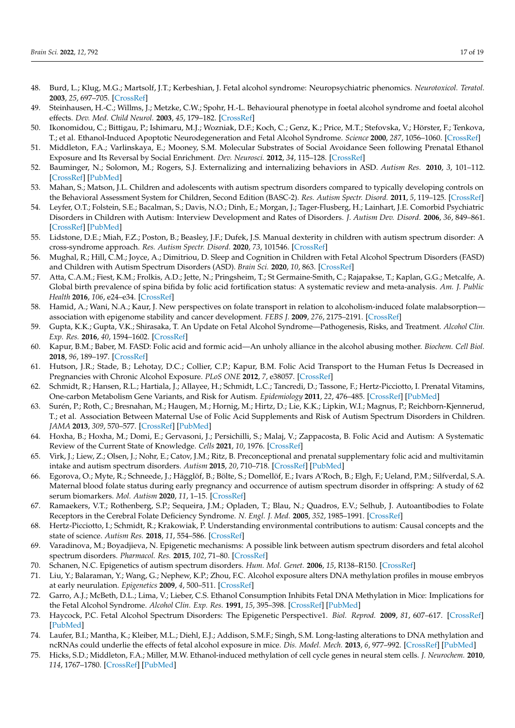- <span id="page-16-0"></span>48. Burd, L.; Klug, M.G.; Martsolf, J.T.; Kerbeshian, J. Fetal alcohol syndrome: Neuropsychiatric phenomics. *Neurotoxicol. Teratol.* **2003**, *25*, 697–705. [\[CrossRef\]](http://doi.org/10.1016/j.ntt.2003.07.014)
- <span id="page-16-1"></span>49. Steinhausen, H.-C.; Willms, J.; Metzke, C.W.; Spohr, H.-L. Behavioural phenotype in foetal alcohol syndrome and foetal alcohol effects. *Dev. Med. Child Neurol.* **2003**, *45*, 179–182. [\[CrossRef\]](http://doi.org/10.1111/j.1469-8749.2003.tb00927.x)
- <span id="page-16-2"></span>50. Ikonomidou, C.; Bittigau, P.; Ishimaru, M.J.; Wozniak, D.F.; Koch, C.; Genz, K.; Price, M.T.; Stefovska, V.; Hörster, F.; Tenkova, T.; et al. Ethanol-Induced Apoptotic Neurodegeneration and Fetal Alcohol Syndrome. *Science* **2000**, *287*, 1056–1060. [\[CrossRef\]](http://doi.org/10.1126/science.287.5455.1056)
- <span id="page-16-3"></span>51. Middleton, F.A.; Varlinskaya, E.; Mooney, S.M. Molecular Substrates of Social Avoidance Seen following Prenatal Ethanol Exposure and Its Reversal by Social Enrichment. *Dev. Neurosci.* **2012**, *34*, 115–128. [\[CrossRef\]](http://doi.org/10.1159/000337858)
- <span id="page-16-4"></span>52. Bauminger, N.; Solomon, M.; Rogers, S.J. Externalizing and internalizing behaviors in ASD. *Autism Res.* **2010**, *3*, 101–112. [\[CrossRef\]](http://doi.org/10.1002/aur.131) [\[PubMed\]](http://www.ncbi.nlm.nih.gov/pubmed/20575109)
- <span id="page-16-5"></span>53. Mahan, S.; Matson, J.L. Children and adolescents with autism spectrum disorders compared to typically developing controls on the Behavioral Assessment System for Children, Second Edition (BASC-2). *Res. Autism Spectr. Disord.* **2011**, *5*, 119–125. [\[CrossRef\]](http://doi.org/10.1016/j.rasd.2010.02.007)
- <span id="page-16-6"></span>54. Leyfer, O.T.; Folstein, S.E.; Bacalman, S.; Davis, N.O.; Dinh, E.; Morgan, J.; Tager-Flusberg, H.; Lainhart, J.E. Comorbid Psychiatric Disorders in Children with Autism: Interview Development and Rates of Disorders. *J. Autism Dev. Disord.* **2006**, *36*, 849–861. [\[CrossRef\]](http://doi.org/10.1007/s10803-006-0123-0) [\[PubMed\]](http://www.ncbi.nlm.nih.gov/pubmed/16845581)
- <span id="page-16-7"></span>55. Lidstone, D.E.; Miah, F.Z.; Poston, B.; Beasley, J.F.; Dufek, J.S. Manual dexterity in children with autism spectrum disorder: A cross-syndrome approach. *Res. Autism Spectr. Disord.* **2020**, *73*, 101546. [\[CrossRef\]](http://doi.org/10.1016/j.rasd.2020.101546)
- <span id="page-16-8"></span>56. Mughal, R.; Hill, C.M.; Joyce, A.; Dimitriou, D. Sleep and Cognition in Children with Fetal Alcohol Spectrum Disorders (FASD) and Children with Autism Spectrum Disorders (ASD). *Brain Sci.* **2020**, *10*, 863. [\[CrossRef\]](http://doi.org/10.3390/brainsci10110863)
- <span id="page-16-9"></span>57. Atta, C.A.M.; Fiest, K.M.; Frolkis, A.D.; Jette, N.; Pringsheim, T.; St Germaine-Smith, C.; Rajapakse, T.; Kaplan, G.G.; Metcalfe, A. Global birth prevalence of spina bifida by folic acid fortification status: A systematic review and meta-analysis. *Am. J. Public Health* **2016**, *106*, e24–e34. [\[CrossRef\]](http://doi.org/10.2105/AJPH.2015.302902)
- <span id="page-16-10"></span>58. Hamid, A.; Wani, N.A.; Kaur, J. New perspectives on folate transport in relation to alcoholism-induced folate malabsorption association with epigenome stability and cancer development. *FEBS J.* **2009**, *276*, 2175–2191. [\[CrossRef\]](http://doi.org/10.1111/j.1742-4658.2009.06959.x)
- <span id="page-16-11"></span>59. Gupta, K.K.; Gupta, V.K.; Shirasaka, T. An Update on Fetal Alcohol Syndrome—Pathogenesis, Risks, and Treatment. *Alcohol Clin. Exp. Res.* **2016**, *40*, 1594–1602. [\[CrossRef\]](http://doi.org/10.1111/acer.13135)
- <span id="page-16-12"></span>60. Kapur, B.M.; Baber, M. FASD: Folic acid and formic acid—An unholy alliance in the alcohol abusing mother. *Biochem. Cell Biol.* **2018**, *96*, 189–197. [\[CrossRef\]](http://doi.org/10.1139/bcb-2017-0079)
- <span id="page-16-13"></span>61. Hutson, J.R.; Stade, B.; Lehotay, D.C.; Collier, C.P.; Kapur, B.M. Folic Acid Transport to the Human Fetus Is Decreased in Pregnancies with Chronic Alcohol Exposure. *PLoS ONE* **2012**, *7*, e38057. [\[CrossRef\]](http://doi.org/10.1371/journal.pone.0038057)
- <span id="page-16-14"></span>62. Schmidt, R.; Hansen, R.L.; Hartiala, J.; Allayee, H.; Schmidt, L.C.; Tancredi, D.; Tassone, F.; Hertz-Picciotto, I. Prenatal Vitamins, One-carbon Metabolism Gene Variants, and Risk for Autism. *Epidemiology* **2011**, *22*, 476–485. [\[CrossRef\]](http://doi.org/10.1097/EDE.0b013e31821d0e30) [\[PubMed\]](http://www.ncbi.nlm.nih.gov/pubmed/21610500)
- <span id="page-16-15"></span>63. Surén, P.; Roth, C.; Bresnahan, M.; Haugen, M.; Hornig, M.; Hirtz, D.; Lie, K.K.; Lipkin, W.I.; Magnus, P.; Reichborn-Kjennerud, T.; et al. Association Between Maternal Use of Folic Acid Supplements and Risk of Autism Spectrum Disorders in Children. *JAMA* **2013**, *309*, 570–577. [\[CrossRef\]](http://doi.org/10.1001/jama.2012.155925) [\[PubMed\]](http://www.ncbi.nlm.nih.gov/pubmed/23403681)
- <span id="page-16-16"></span>64. Hoxha, B.; Hoxha, M.; Domi, E.; Gervasoni, J.; Persichilli, S.; Malaj, V.; Zappacosta, B. Folic Acid and Autism: A Systematic Review of the Current State of Knowledge. *Cells* **2021**, *10*, 1976. [\[CrossRef\]](http://doi.org/10.3390/cells10081976)
- <span id="page-16-17"></span>65. Virk, J.; Liew, Z.; Olsen, J.; Nohr, E.; Catov, J.M.; Ritz, B. Preconceptional and prenatal supplementary folic acid and multivitamin intake and autism spectrum disorders. *Autism* **2015**, *20*, 710–718. [\[CrossRef\]](http://doi.org/10.1177/1362361315604076) [\[PubMed\]](http://www.ncbi.nlm.nih.gov/pubmed/26408631)
- <span id="page-16-18"></span>66. Egorova, O.; Myte, R.; Schneede, J.; Hägglöf, B.; Bölte, S.; Domellöf, E.; Ivars A'Roch, B.; Elgh, F.; Ueland, P.M.; Silfverdal, S.A. Maternal blood folate status during early pregnancy and occurrence of autism spectrum disorder in offspring: A study of 62 serum biomarkers. *Mol. Autism* **2020**, *11*, 1–15. [\[CrossRef\]](http://doi.org/10.1186/s13229-020-0315-z)
- <span id="page-16-19"></span>67. Ramaekers, V.T.; Rothenberg, S.P.; Sequeira, J.M.; Opladen, T.; Blau, N.; Quadros, E.V.; Selhub, J. Autoantibodies to Folate Receptors in the Cerebral Folate Deficiency Syndrome. *N. Engl. J. Med.* **2005**, *352*, 1985–1991. [\[CrossRef\]](http://doi.org/10.1056/NEJMoa043160)
- <span id="page-16-20"></span>68. Hertz-Picciotto, I.; Schmidt, R.; Krakowiak, P. Understanding environmental contributions to autism: Causal concepts and the state of science. *Autism Res.* **2018**, *11*, 554–586. [\[CrossRef\]](http://doi.org/10.1002/aur.1938)
- <span id="page-16-21"></span>69. Varadinova, M.; Boyadjieva, N. Epigenetic mechanisms: A possible link between autism spectrum disorders and fetal alcohol spectrum disorders. *Pharmacol. Res.* **2015**, *102*, 71–80. [\[CrossRef\]](http://doi.org/10.1016/j.phrs.2015.09.011)
- <span id="page-16-22"></span>70. Schanen, N.C. Epigenetics of autism spectrum disorders. *Hum. Mol. Genet.* **2006**, *15*, R138–R150. [\[CrossRef\]](http://doi.org/10.1093/hmg/ddl213)
- <span id="page-16-23"></span>71. Liu, Y.; Balaraman, Y.; Wang, G.; Nephew, K.P.; Zhou, F.C. Alcohol exposure alters DNA methylation profiles in mouse embryos at early neurulation. *Epigenetics* **2009**, *4*, 500–511. [\[CrossRef\]](http://doi.org/10.4161/epi.4.7.9925)
- <span id="page-16-24"></span>72. Garro, A.J.; McBeth, D.L.; Lima, V.; Lieber, C.S. Ethanol Consumption Inhibits Fetal DNA Methylation in Mice: Implications for the Fetal Alcohol Syndrome. *Alcohol Clin. Exp. Res.* **1991**, *15*, 395–398. [\[CrossRef\]](http://doi.org/10.1111/j.1530-0277.1991.tb00536.x) [\[PubMed\]](http://www.ncbi.nlm.nih.gov/pubmed/1877725)
- <span id="page-16-25"></span>73. Haycock, P.C. Fetal Alcohol Spectrum Disorders: The Epigenetic Perspective1. *Biol. Reprod.* **2009**, *81*, 607–617. [\[CrossRef\]](http://doi.org/10.1095/biolreprod.108.074690) [\[PubMed\]](http://www.ncbi.nlm.nih.gov/pubmed/19458312)
- <span id="page-16-26"></span>74. Laufer, B.I.; Mantha, K.; Kleiber, M.L.; Diehl, E.J.; Addison, S.M.F.; Singh, S.M. Long-lasting alterations to DNA methylation and ncRNAs could underlie the effects of fetal alcohol exposure in mice. *Dis. Model. Mech.* **2013**, *6*, 977–992. [\[CrossRef\]](http://doi.org/10.1242/dmm.010975) [\[PubMed\]](http://www.ncbi.nlm.nih.gov/pubmed/23580197)
- <span id="page-16-27"></span>75. Hicks, S.D.; Middleton, F.A.; Miller, M.W. Ethanol-induced methylation of cell cycle genes in neural stem cells. *J. Neurochem.* **2010**, *114*, 1767–1780. [\[CrossRef\]](http://doi.org/10.1111/j.1471-4159.2010.06886.x) [\[PubMed\]](http://www.ncbi.nlm.nih.gov/pubmed/20626555)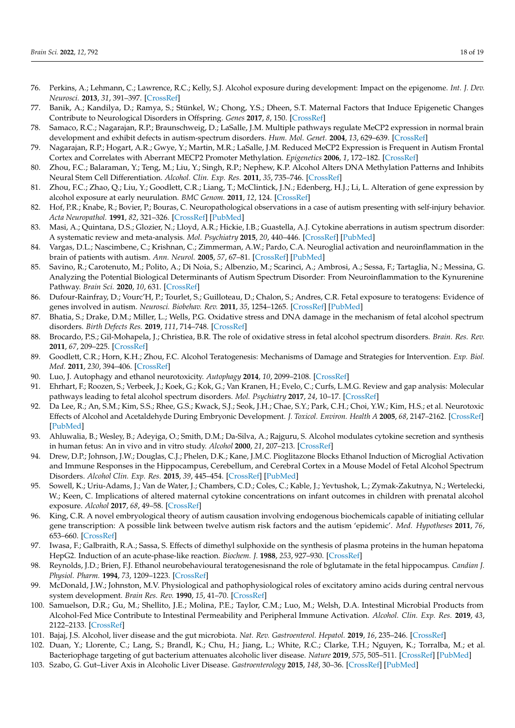- <span id="page-17-0"></span>76. Perkins, A.; Lehmann, C.; Lawrence, R.C.; Kelly, S.J. Alcohol exposure during development: Impact on the epigenome. *Int. J. Dev. Neurosci.* **2013**, *31*, 391–397. [\[CrossRef\]](http://doi.org/10.1016/j.ijdevneu.2013.03.010)
- <span id="page-17-1"></span>77. Banik, A.; Kandilya, D.; Ramya, S.; Stünkel, W.; Chong, Y.S.; Dheen, S.T. Maternal Factors that Induce Epigenetic Changes Contribute to Neurological Disorders in Offspring. *Genes* **2017**, *8*, 150. [\[CrossRef\]](http://doi.org/10.3390/genes8060150)
- 78. Samaco, R.C.; Nagarajan, R.P.; Braunschweig, D.; LaSalle, J.M. Multiple pathways regulate MeCP2 expression in normal brain development and exhibit defects in autism-spectrum disorders. *Hum. Mol. Genet.* **2004**, *13*, 629–639. [\[CrossRef\]](http://doi.org/10.1093/hmg/ddh063)
- <span id="page-17-2"></span>79. Nagarajan, R.P.; Hogart, A.R.; Gwye, Y.; Martin, M.R.; LaSalle, J.M. Reduced MeCP2 Expression is Frequent in Autism Frontal Cortex and Correlates with Aberrant MECP2 Promoter Methylation. *Epigenetics* **2006**, *1*, 172–182. [\[CrossRef\]](http://doi.org/10.4161/epi.1.4.3514)
- <span id="page-17-3"></span>80. Zhou, F.C.; Balaraman, Y.; Teng, M.; Liu, Y.; Singh, R.P.; Nephew, K.P. Alcohol Alters DNA Methylation Patterns and Inhibits Neural Stem Cell Differentiation. *Alcohol. Clin. Exp. Res.* **2011**, *35*, 735–746. [\[CrossRef\]](http://doi.org/10.1111/j.1530-0277.2010.01391.x)
- <span id="page-17-4"></span>81. Zhou, F.C.; Zhao, Q.; Liu, Y.; Goodlett, C.R.; Liang, T.; McClintick, J.N.; Edenberg, H.J.; Li, L. Alteration of gene expression by alcohol exposure at early neurulation. *BMC Genom.* **2011**, *12*, 124. [\[CrossRef\]](http://doi.org/10.1186/1471-2164-12-124)
- <span id="page-17-5"></span>82. Hof, P.R.; Knabe, R.; Bovier, P.; Bouras, C. Neuropathological observations in a case of autism presenting with self-injury behavior. *Acta Neuropathol.* **1991**, *82*, 321–326. [\[CrossRef\]](http://doi.org/10.1007/BF00308819) [\[PubMed\]](http://www.ncbi.nlm.nih.gov/pubmed/1759563)
- <span id="page-17-6"></span>83. Masi, A.; Quintana, D.S.; Glozier, N.; Lloyd, A.R.; Hickie, I.B.; Guastella, A.J. Cytokine aberrations in autism spectrum disorder: A systematic review and meta-analysis. *Mol. Psychiatry* **2015**, *20*, 440–446. [\[CrossRef\]](http://doi.org/10.1038/mp.2014.59) [\[PubMed\]](http://www.ncbi.nlm.nih.gov/pubmed/24934179)
- <span id="page-17-7"></span>84. Vargas, D.L.; Nascimbene, C.; Krishnan, C.; Zimmerman, A.W.; Pardo, C.A. Neuroglial activation and neuroinflammation in the brain of patients with autism. *Ann. Neurol.* **2005**, *57*, 67–81. [\[CrossRef\]](http://doi.org/10.1002/ana.20315) [\[PubMed\]](http://www.ncbi.nlm.nih.gov/pubmed/15546155)
- <span id="page-17-8"></span>85. Savino, R.; Carotenuto, M.; Polito, A.; Di Noia, S.; Albenzio, M.; Scarinci, A.; Ambrosi, A.; Sessa, F.; Tartaglia, N.; Messina, G. Analyzing the Potential Biological Determinants of Autism Spectrum Disorder: From Neuroinflammation to the Kynurenine Pathway. *Brain Sci.* **2020**, *10*, 631. [\[CrossRef\]](http://doi.org/10.3390/brainsci10090631)
- <span id="page-17-9"></span>86. Dufour-Rainfray, D.; Vourc'H, P.; Tourlet, S.; Guilloteau, D.; Chalon, S.; Andres, C.R. Fetal exposure to teratogens: Evidence of genes involved in autism. *Neurosci. Biobehav. Rev.* **2011**, *35*, 1254–1265. [\[CrossRef\]](http://doi.org/10.1016/j.neubiorev.2010.12.013) [\[PubMed\]](http://www.ncbi.nlm.nih.gov/pubmed/21195109)
- <span id="page-17-10"></span>87. Bhatia, S.; Drake, D.M.; Miller, L.; Wells, P.G. Oxidative stress and DNA damage in the mechanism of fetal alcohol spectrum disorders. *Birth Defects Res.* **2019**, *111*, 714–748. [\[CrossRef\]](http://doi.org/10.1002/bdr2.1509)
- <span id="page-17-12"></span>88. Brocardo, P.S.; Gil-Mohapela, J.; Christiea, B.R. The role of oxidative stress in fetal alcohol spectrum disorders. *Brain. Res. Rev.* **2011**, *67*, 209–225. [\[CrossRef\]](http://doi.org/10.1016/j.brainresrev.2011.02.001)
- <span id="page-17-11"></span>89. Goodlett, C.R.; Horn, K.H.; Zhou, F.C. Alcohol Teratogenesis: Mechanisms of Damage and Strategies for Intervention. *Exp. Biol. Med.* **2011**, *230*, 394–406. [\[CrossRef\]](http://doi.org/10.1177/15353702-0323006-07)
- <span id="page-17-13"></span>90. Luo, J. Autophagy and ethanol neurotoxicity. *Autophagy* **2014**, *10*, 2099–2108. [\[CrossRef\]](http://doi.org/10.4161/15548627.2014.981916)
- <span id="page-17-14"></span>91. Ehrhart, F.; Roozen, S.; Verbeek, J.; Koek, G.; Kok, G.; Van Kranen, H.; Evelo, C.; Curfs, L.M.G. Review and gap analysis: Molecular pathways leading to fetal alcohol spectrum disorders. *Mol. Psychiatry* **2017**, *24*, 10–17. [\[CrossRef\]](http://doi.org/10.1038/s41380-018-0095-4)
- <span id="page-17-15"></span>92. Da Lee, R.; An, S.M.; Kim, S.S.; Rhee, G.S.; Kwack, S.J.; Seok, J.H.; Chae, S.Y.; Park, C.H.; Choi, Y.W.; Kim, H.S.; et al. Neurotoxic Effects of Alcohol and Acetaldehyde During Embryonic Development. *J. Toxicol. Environ. Health A* **2005**, *68*, 2147–2162. [\[CrossRef\]](http://doi.org/10.1080/15287390500177255) [\[PubMed\]](http://www.ncbi.nlm.nih.gov/pubmed/16326430)
- <span id="page-17-16"></span>93. Ahluwalia, B.; Wesley, B.; Adeyiga, O.; Smith, D.M.; Da-Silva, A.; Rajguru, S. Alcohol modulates cytokine secretion and synthesis in human fetus: An in vivo and in vitro study. *Alcohol* **2000**, *21*, 207–213. [\[CrossRef\]](http://doi.org/10.1016/S0741-8329(00)00076-8)
- 94. Drew, D.P.; Johnson, J.W.; Douglas, C.J.; Phelen, D.K.; Kane, J.M.C. Pioglitazone Blocks Ethanol Induction of Microglial Activation and Immune Responses in the Hippocampus, Cerebellum, and Cerebral Cortex in a Mouse Model of Fetal Alcohol Spectrum Disorders. *Alcohol Clin. Exp. Res.* **2015**, *39*, 445–454. [\[CrossRef\]](http://doi.org/10.1111/acer.12639) [\[PubMed\]](http://www.ncbi.nlm.nih.gov/pubmed/25703036)
- <span id="page-17-18"></span>95. Sowell, K.; Uriu-Adams, J.; Van de Water, J.; Chambers, C.D.; Coles, C.; Kable, J.; Yevtushok, L.; Zymak-Zakutnya, N.; Wertelecki, W.; Keen, C. Implications of altered maternal cytokine concentrations on infant outcomes in children with prenatal alcohol exposure. *Alcohol* **2017**, *68*, 49–58. [\[CrossRef\]](http://doi.org/10.1016/j.alcohol.2017.08.006)
- <span id="page-17-17"></span>96. King, C.R. A novel embryological theory of autism causation involving endogenous biochemicals capable of initiating cellular gene transcription: A possible link between twelve autism risk factors and the autism 'epidemic'. *Med. Hypotheses* **2011**, *76*, 653–660. [\[CrossRef\]](http://doi.org/10.1016/j.mehy.2011.01.024)
- <span id="page-17-19"></span>97. Iwasa, F.; Galbraith, R.A.; Sassa, S. Effects of dimethyl sulphoxide on the synthesis of plasma proteins in the human hepatoma HepG2. Induction of an acute-phase-like reaction. *Biochem. J.* **1988**, *253*, 927–930. [\[CrossRef\]](http://doi.org/10.1042/bj2530927)
- <span id="page-17-20"></span>98. Reynolds, J.D.; Brien, F.J. Ethanol neurobehavioural teratogenesisnand the role of bglutamate in the fetal hippocampus. *Candian J. Physiol. Pharm.* **1994**, *73*, 1209–1223. [\[CrossRef\]](http://doi.org/10.1139/y95-173)
- <span id="page-17-21"></span>99. McDonald, J.W.; Johnston, M.V. Physiological and pathophysiological roles of excitatory amino acids during central nervous system development. *Brain Res. Rev.* **1990**, *15*, 41–70. [\[CrossRef\]](http://doi.org/10.1016/0165-0173(90)90011-C)
- <span id="page-17-22"></span>100. Samuelson, D.R.; Gu, M.; Shellito, J.E.; Molina, P.E.; Taylor, C.M.; Luo, M.; Welsh, D.A. Intestinal Microbial Products from Alcohol-Fed Mice Contribute to Intestinal Permeability and Peripheral Immune Activation. *Alcohol. Clin. Exp. Res.* **2019**, *43*, 2122–2133. [\[CrossRef\]](http://doi.org/10.1111/acer.14176)
- 101. Bajaj, J.S. Alcohol, liver disease and the gut microbiota. *Nat. Rev. Gastroenterol. Hepatol.* **2019**, *16*, 235–246. [\[CrossRef\]](http://doi.org/10.1038/s41575-018-0099-1)
- <span id="page-17-23"></span>102. Duan, Y.; Llorente, C.; Lang, S.; Brandl, K.; Chu, H.; Jiang, L.; White, R.C.; Clarke, T.H.; Nguyen, K.; Torralba, M.; et al. Bacteriophage targeting of gut bacterium attenuates alcoholic liver disease. *Nature* **2019**, *575*, 505–511. [\[CrossRef\]](http://doi.org/10.1038/s41586-019-1742-x) [\[PubMed\]](http://www.ncbi.nlm.nih.gov/pubmed/31723265)
- 103. Szabo, G. Gut–Liver Axis in Alcoholic Liver Disease. *Gastroenterology* **2015**, *148*, 30–36. [\[CrossRef\]](http://doi.org/10.1053/j.gastro.2014.10.042) [\[PubMed\]](http://www.ncbi.nlm.nih.gov/pubmed/25447847)